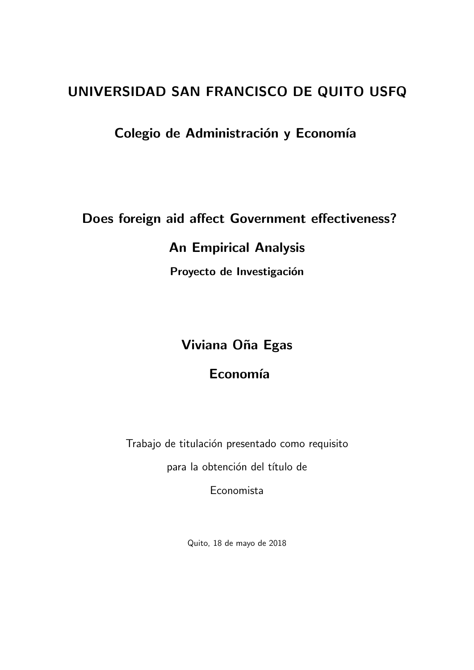## UNIVERSIDAD SAN FRANCISCO DE QUITO USFQ

## Colegio de Administración y Economía

Does foreign aid affect Government effectiveness?

## An Empirical Analysis

Proyecto de Investigación

## Viviana Oña Egas

## Economía

Trabajo de titulación presentado como requisito

para la obtención del título de

Economista

Quito, 18 de mayo de 2018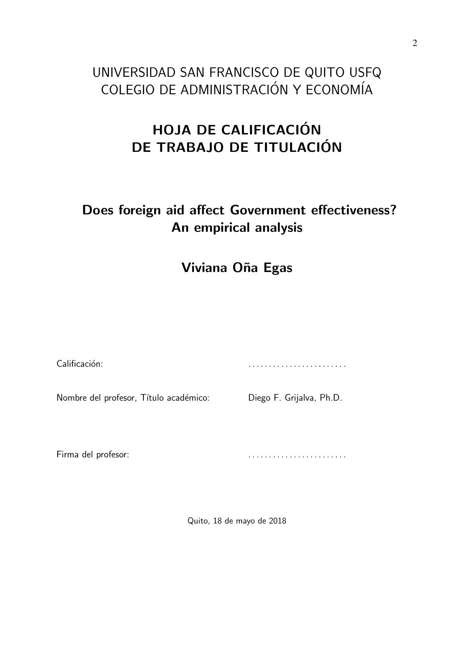# UNIVERSIDAD SAN FRANCISCO DE QUITO USFQ COLEGIO DE ADMINISTRACIÓN Y ECONOMÍA

# HOJA DE CALIFICACIÓN DE TRABAJO DE TITULACIÓN

# Does foreign aid affect Government effectiveness? An empirical analysis

## Viviana Oña Egas

| Calificación:                          |                          |
|----------------------------------------|--------------------------|
| Nombre del profesor, Título académico: | Diego F. Grijalva, Ph.D. |
|                                        |                          |

Firma del profesor:

Quito, 18 de mayo de 2018

. . . . . . . . . . . . . . . . . . . . . . . .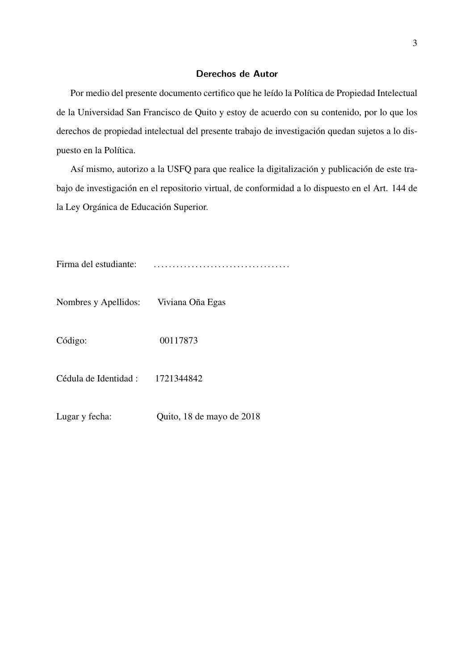#### Derechos de Autor

Por medio del presente documento certifico que he leído la Política de Propiedad Intelectual de la Universidad San Francisco de Quito y estoy de acuerdo con su contenido, por lo que los derechos de propiedad intelectual del presente trabajo de investigación quedan sujetos a lo dispuesto en la Política.

Así mismo, autorizo a la USFQ para que realice la digitalización y publicación de este trabajo de investigación en el repositorio virtual, de conformidad a lo dispuesto en el Art. 144 de la Ley Orgánica de Educación Superior.

Firma del estudiante: . . . . . . . . . . . . . . . . . . . . . . . . . . . . . . . . . . . .

Nombres y Apellidos: Viviana Oña Egas

Código: 00117873

Cédula de Identidad : 1721344842

Lugar y fecha: Quito, 18 de mayo de 2018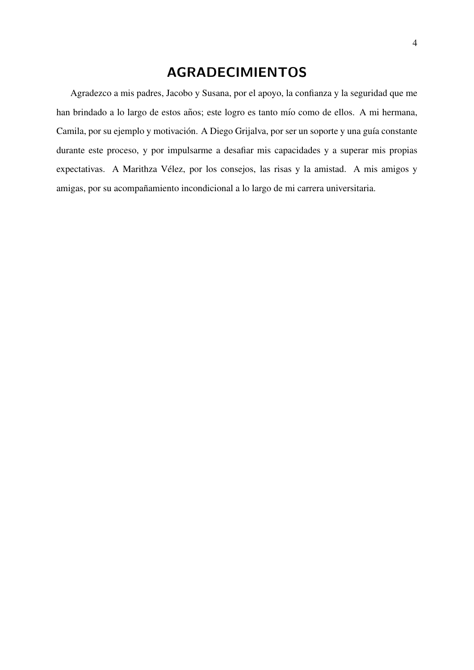## AGRADECIMIENTOS

Agradezco a mis padres, Jacobo y Susana, por el apoyo, la confianza y la seguridad que me han brindado a lo largo de estos años; este logro es tanto mío como de ellos. A mi hermana, Camila, por su ejemplo y motivación. A Diego Grijalva, por ser un soporte y una guía constante durante este proceso, y por impulsarme a desafiar mis capacidades y a superar mis propias expectativas. A Marithza Velez, por los consejos, las risas y la amistad. A mis amigos y ´ amigas, por su acompañamiento incondicional a lo largo de mi carrera universitaria.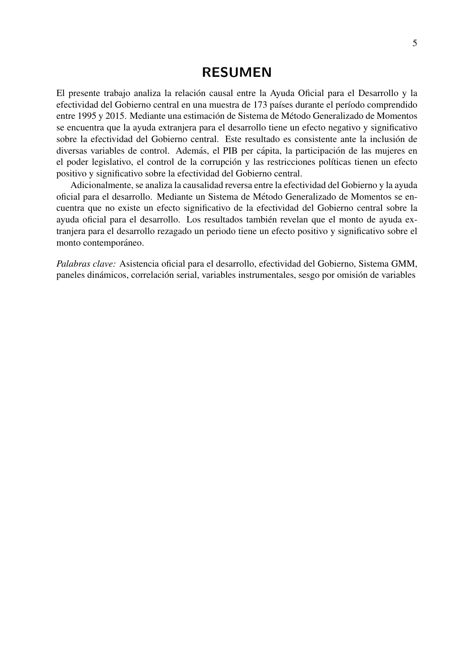### RESUMEN

El presente trabajo analiza la relacion causal entre la Ayuda Oficial para el Desarrollo y la ´ efectividad del Gobierno central en una muestra de 173 países durante el período comprendido entre 1995 y 2015. Mediante una estimación de Sistema de Método Generalizado de Momentos se encuentra que la ayuda extranjera para el desarrollo tiene un efecto negativo y significativo sobre la efectividad del Gobierno central. Este resultado es consistente ante la inclusión de diversas variables de control. Además, el PIB per cápita, la participación de las mujeres en el poder legislativo, el control de la corrupción y las restricciones políticas tienen un efecto positivo y significativo sobre la efectividad del Gobierno central.

Adicionalmente, se analiza la causalidad reversa entre la efectividad del Gobierno y la ayuda oficial para el desarrollo. Mediante un Sistema de Metodo Generalizado de Momentos se en- ´ cuentra que no existe un efecto significativo de la efectividad del Gobierno central sobre la ayuda oficial para el desarrollo. Los resultados tambien revelan que el monto de ayuda ex- ´ tranjera para el desarrollo rezagado un periodo tiene un efecto positivo y significativo sobre el monto contemporáneo.

*Palabras clave:* Asistencia oficial para el desarrollo, efectividad del Gobierno, Sistema GMM, paneles dinámicos, correlación serial, variables instrumentales, sesgo por omisión de variables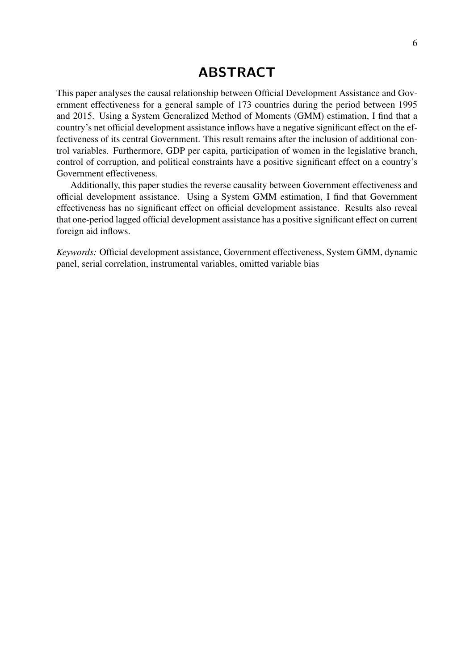## ABSTRACT

This paper analyses the causal relationship between Official Development Assistance and Government effectiveness for a general sample of 173 countries during the period between 1995 and 2015. Using a System Generalized Method of Moments (GMM) estimation, I find that a country's net official development assistance inflows have a negative significant effect on the effectiveness of its central Government. This result remains after the inclusion of additional control variables. Furthermore, GDP per capita, participation of women in the legislative branch, control of corruption, and political constraints have a positive significant effect on a country's Government effectiveness.

Additionally, this paper studies the reverse causality between Government effectiveness and official development assistance. Using a System GMM estimation, I find that Government effectiveness has no significant effect on official development assistance. Results also reveal that one-period lagged official development assistance has a positive significant effect on current foreign aid inflows.

*Keywords:* Official development assistance, Government effectiveness, System GMM, dynamic panel, serial correlation, instrumental variables, omitted variable bias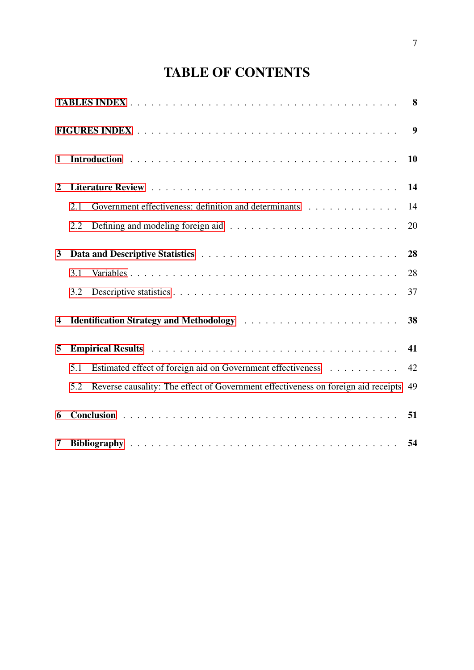# TABLE OF CONTENTS

|                |                                                                                                                                                                                                                                | 9         |
|----------------|--------------------------------------------------------------------------------------------------------------------------------------------------------------------------------------------------------------------------------|-----------|
| $\mathbf{1}$   |                                                                                                                                                                                                                                | <b>10</b> |
| $\overline{2}$ |                                                                                                                                                                                                                                | 14        |
|                | Government effectiveness: definition and determinants<br>2.1                                                                                                                                                                   | 14        |
|                | 2.2                                                                                                                                                                                                                            | 20        |
| $\mathbf{3}$   |                                                                                                                                                                                                                                | 28        |
|                | 3.1                                                                                                                                                                                                                            | 28        |
|                | 3.2                                                                                                                                                                                                                            | 37        |
| 4              |                                                                                                                                                                                                                                | 38        |
| 5              | Empirical Results in the contract of the contract of the contract of the contract of the contract of the contract of the contract of the contract of the contract of the contract of the contract of the contract of the contr | 41        |
|                | Estimated effect of foreign aid on Government effectiveness<br>5.1                                                                                                                                                             | 42        |
|                | Reverse causality: The effect of Government effectiveness on foreign aid receipts 49<br>5.2                                                                                                                                    |           |
| 6              |                                                                                                                                                                                                                                | 51        |
| 7              |                                                                                                                                                                                                                                | 54        |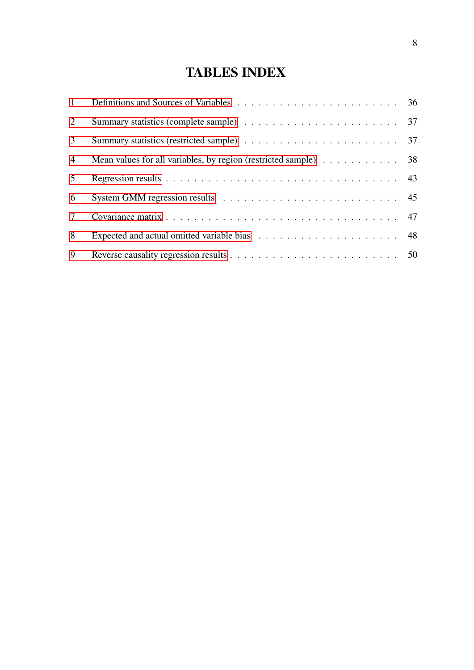# TABLES INDEX

<span id="page-7-0"></span>

| 1               |                                                                                        |  |
|-----------------|----------------------------------------------------------------------------------------|--|
| $\overline{2}$  |                                                                                        |  |
| 3 <sup>1</sup>  |                                                                                        |  |
| $\overline{4}$  | Mean values for all variables, by region (restricted sample) $\ldots \ldots \ldots$ 38 |  |
| 5 <sup>5</sup>  |                                                                                        |  |
| 6               |                                                                                        |  |
| $7\overline{ }$ |                                                                                        |  |
| 8               |                                                                                        |  |
| 9               |                                                                                        |  |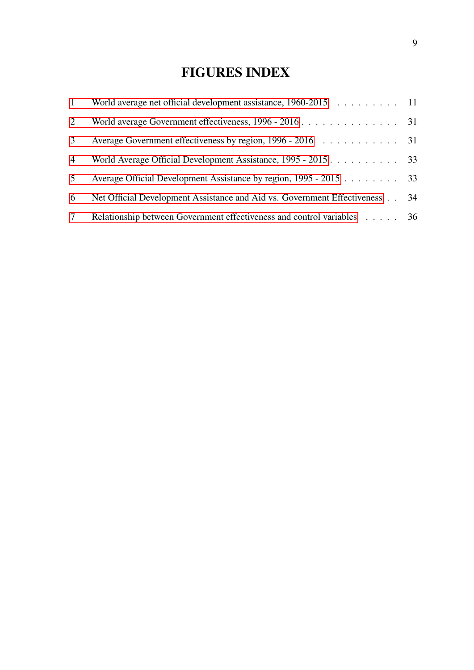# FIGURES INDEX

<span id="page-8-0"></span>

| $\mathbf{1}$ | World average net official development assistance, 1960-2015 11          |    |
|--------------|--------------------------------------------------------------------------|----|
| 2            |                                                                          |    |
| 3            |                                                                          |    |
| 4            | World Average Official Development Assistance, 1995 - 2015 33            |    |
| 5            | Average Official Development Assistance by region, 1995 - 2015 33        |    |
| 6            | Net Official Development Assistance and Aid vs. Government Effectiveness | 34 |
| $\tau$       | Relationship between Government effectiveness and control variables 36   |    |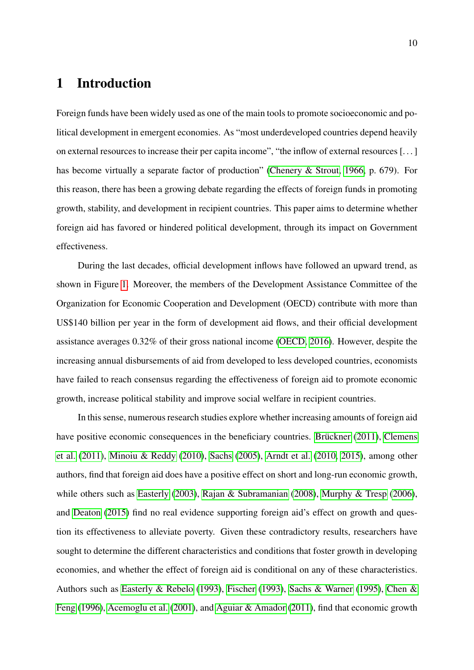### <span id="page-9-0"></span>1 Introduction

Foreign funds have been widely used as one of the main tools to promote socioeconomic and political development in emergent economies. As "most underdeveloped countries depend heavily on external resources to increase their per capita income", "the inflow of external resources [. . . ] has become virtually a separate factor of production" [\(Chenery & Strout, 1966,](#page-55-0) p. 679). For this reason, there has been a growing debate regarding the effects of foreign funds in promoting growth, stability, and development in recipient countries. This paper aims to determine whether foreign aid has favored or hindered political development, through its impact on Government effectiveness.

During the last decades, official development inflows have followed an upward trend, as shown in Figure [1.](#page-10-0) Moreover, the members of the Development Assistance Committee of the Organization for Economic Cooperation and Development (OECD) contribute with more than US\$140 billion per year in the form of development aid flows, and their official development assistance averages 0.32% of their gross national income [\(OECD, 2016\)](#page-57-0). However, despite the increasing annual disbursements of aid from developed to less developed countries, economists have failed to reach consensus regarding the effectiveness of foreign aid to promote economic growth, increase political stability and improve social welfare in recipient countries.

In this sense, numerous research studies explore whether increasing amounts of foreign aid have positive economic consequences in the beneficiary countries. Brückner [\(2011\)](#page-54-0), [Clemens](#page-55-1) [et al.](#page-55-1) [\(2011\)](#page-55-1), [Minoiu & Reddy](#page-57-1) [\(2010\)](#page-57-1), [Sachs](#page-58-0) [\(2005\)](#page-58-0), [Arndt et al.](#page-53-1) [\(2010,](#page-53-1) [2015\)](#page-53-2), among other authors, find that foreign aid does have a positive effect on short and long-run economic growth, while others such as [Easterly](#page-55-2) [\(2003\)](#page-55-2), [Rajan & Subramanian](#page-58-1) [\(2008\)](#page-58-1), [Murphy & Tresp](#page-57-2) [\(2006\)](#page-57-2), and [Deaton](#page-55-3) [\(2015\)](#page-55-3) find no real evidence supporting foreign aid's effect on growth and question its effectiveness to alleviate poverty. Given these contradictory results, researchers have sought to determine the different characteristics and conditions that foster growth in developing economies, and whether the effect of foreign aid is conditional on any of these characteristics. Authors such as [Easterly & Rebelo](#page-55-4) [\(1993\)](#page-55-4), [Fischer](#page-55-5) [\(1993\)](#page-55-5), [Sachs & Warner](#page-58-2) [\(1995\)](#page-58-2), [Chen &](#page-55-6) [Feng](#page-55-6) [\(1996\)](#page-55-6), [Acemoglu et al.](#page-53-3) [\(2001\)](#page-53-3), and [Aguiar & Amador](#page-53-4) [\(2011\)](#page-53-4), find that economic growth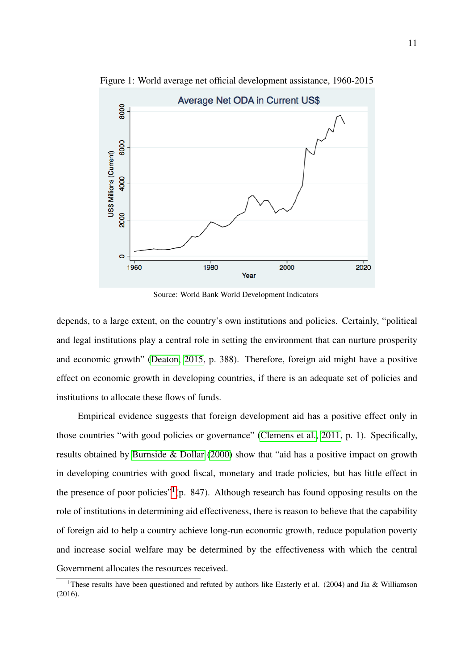

<span id="page-10-0"></span>Figure 1: World average net official development assistance, 1960-2015

Source: World Bank World Development Indicators

depends, to a large extent, on the country's own institutions and policies. Certainly, "political and legal institutions play a central role in setting the environment that can nurture prosperity and economic growth" [\(Deaton, 2015,](#page-55-3) p. 388). Therefore, foreign aid might have a positive effect on economic growth in developing countries, if there is an adequate set of policies and institutions to allocate these flows of funds.

Empirical evidence suggests that foreign development aid has a positive effect only in those countries "with good policies or governance" [\(Clemens et al., 2011,](#page-55-1) p. 1). Specifically, results obtained by [Burnside & Dollar](#page-54-1) [\(2000\)](#page-54-1) show that "aid has a positive impact on growth in developing countries with good fiscal, monetary and trade policies, but has little effect in the presence of poor policies"<sup>[1](#page-10-1)</sup>(p. 847). Although research has found opposing results on the role of institutions in determining aid effectiveness, there is reason to believe that the capability of foreign aid to help a country achieve long-run economic growth, reduce population poverty and increase social welfare may be determined by the effectiveness with which the central Government allocates the resources received.

<span id="page-10-1"></span><sup>&</sup>lt;sup>1</sup>These results have been questioned and refuted by authors like Easterly et al. (2004) and Jia & Williamson (2016).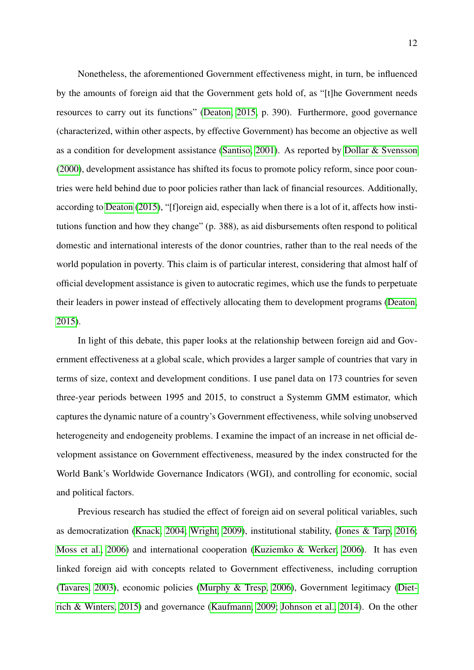Nonetheless, the aforementioned Government effectiveness might, in turn, be influenced by the amounts of foreign aid that the Government gets hold of, as "[t]he Government needs resources to carry out its functions" [\(Deaton, 2015,](#page-55-3) p. 390). Furthermore, good governance (characterized, within other aspects, by effective Government) has become an objective as well as a condition for development assistance [\(Santiso, 2001\)](#page-59-0). As reported by [Dollar & Svensson](#page-55-7) [\(2000\)](#page-55-7), development assistance has shifted its focus to promote policy reform, since poor countries were held behind due to poor policies rather than lack of financial resources. Additionally, according to [Deaton](#page-55-3) [\(2015\)](#page-55-3), "[f]oreign aid, especially when there is a lot of it, affects how institutions function and how they change" (p. 388), as aid disbursements often respond to political domestic and international interests of the donor countries, rather than to the real needs of the world population in poverty. This claim is of particular interest, considering that almost half of official development assistance is given to autocratic regimes, which use the funds to perpetuate their leaders in power instead of effectively allocating them to development programs [\(Deaton,](#page-55-3) [2015\)](#page-55-3).

In light of this debate, this paper looks at the relationship between foreign aid and Government effectiveness at a global scale, which provides a larger sample of countries that vary in terms of size, context and development conditions. I use panel data on 173 countries for seven three-year periods between 1995 and 2015, to construct a Systemm GMM estimator, which captures the dynamic nature of a country's Government effectiveness, while solving unobserved heterogeneity and endogeneity problems. I examine the impact of an increase in net official development assistance on Government effectiveness, measured by the index constructed for the World Bank's Worldwide Governance Indicators (WGI), and controlling for economic, social and political factors.

Previous research has studied the effect of foreign aid on several political variables, such as democratization [\(Knack, 2004;](#page-57-3) [Wright, 2009\)](#page-59-1), institutional stability, [\(Jones & Tarp, 2016;](#page-56-0) [Moss et al., 2006\)](#page-57-4) and international cooperation [\(Kuziemko & Werker, 2006\)](#page-57-5). It has even linked foreign aid with concepts related to Government effectiveness, including corruption [\(Tavares, 2003\)](#page-59-2), economic policies [\(Murphy & Tresp, 2006\)](#page-57-2), Government legitimacy [\(Diet](#page-55-8)[rich & Winters, 2015\)](#page-55-8) and governance [\(Kaufmann, 2009;](#page-56-1) [Johnson et al., 2014\)](#page-56-2). On the other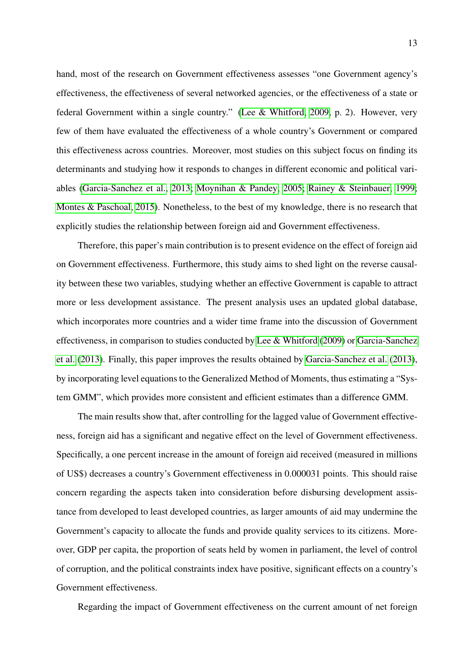hand, most of the research on Government effectiveness assesses "one Government agency's effectiveness, the effectiveness of several networked agencies, or the effectiveness of a state or federal Government within a single country." [\(Lee & Whitford, 2009,](#page-57-6) p. 2). However, very few of them have evaluated the effectiveness of a whole country's Government or compared this effectiveness across countries. Moreover, most studies on this subject focus on finding its determinants and studying how it responds to changes in different economic and political variables [\(Garcia-Sanchez et al., 2013;](#page-55-9) [Moynihan & Pandey, 2005;](#page-57-7) [Rainey & Steinbauer, 1999;](#page-58-3) [Montes & Paschoal, 2015\)](#page-57-8). Nonetheless, to the best of my knowledge, there is no research that explicitly studies the relationship between foreign aid and Government effectiveness.

Therefore, this paper's main contribution is to present evidence on the effect of foreign aid on Government effectiveness. Furthermore, this study aims to shed light on the reverse causality between these two variables, studying whether an effective Government is capable to attract more or less development assistance. The present analysis uses an updated global database, which incorporates more countries and a wider time frame into the discussion of Government effectiveness, in comparison to studies conducted by [Lee & Whitford](#page-57-6) [\(2009\)](#page-57-6) or [Garcia-Sanchez](#page-55-9) [et al.](#page-55-9) [\(2013\)](#page-55-9). Finally, this paper improves the results obtained by [Garcia-Sanchez et al.](#page-55-9) [\(2013\)](#page-55-9), by incorporating level equations to the Generalized Method of Moments, thus estimating a "System GMM", which provides more consistent and efficient estimates than a difference GMM.

The main results show that, after controlling for the lagged value of Government effectiveness, foreign aid has a significant and negative effect on the level of Government effectiveness. Specifically, a one percent increase in the amount of foreign aid received (measured in millions of US\$) decreases a country's Government effectiveness in 0.000031 points. This should raise concern regarding the aspects taken into consideration before disbursing development assistance from developed to least developed countries, as larger amounts of aid may undermine the Government's capacity to allocate the funds and provide quality services to its citizens. Moreover, GDP per capita, the proportion of seats held by women in parliament, the level of control of corruption, and the political constraints index have positive, significant effects on a country's Government effectiveness.

Regarding the impact of Government effectiveness on the current amount of net foreign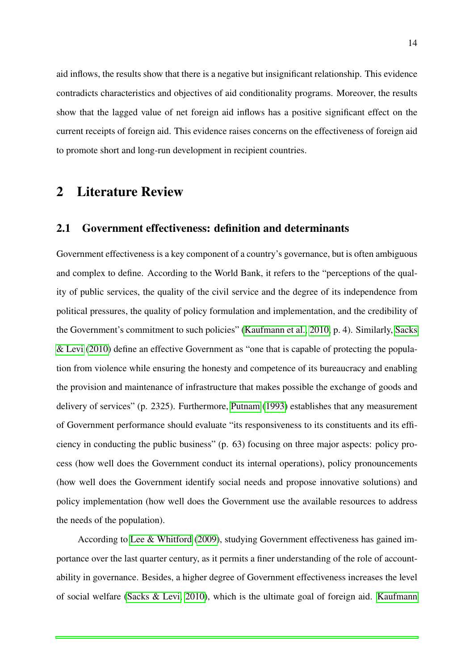aid inflows, the results show that there is a negative but insignificant relationship. This evidence contradicts characteristics and objectives of aid conditionality programs. Moreover, the results show that the lagged value of net foreign aid inflows has a positive significant effect on the current receipts of foreign aid. This evidence raises concerns on the effectiveness of foreign aid to promote short and long-run development in recipient countries.

## <span id="page-13-0"></span>2 Literature Review

#### <span id="page-13-1"></span>2.1 Government effectiveness: definition and determinants

Government effectiveness is a key component of a country's governance, but is often ambiguous and complex to define. According to the World Bank, it refers to the "perceptions of the quality of public services, the quality of the civil service and the degree of its independence from political pressures, the quality of policy formulation and implementation, and the credibility of the Government's commitment to such policies" [\(Kaufmann et al., 2010,](#page-56-3) p. 4). Similarly, [Sacks](#page-59-3) [& Levi](#page-59-3) [\(2010\)](#page-59-3) define an effective Government as "one that is capable of protecting the population from violence while ensuring the honesty and competence of its bureaucracy and enabling the provision and maintenance of infrastructure that makes possible the exchange of goods and delivery of services" (p. 2325). Furthermore, [Putnam](#page-58-4) [\(1993\)](#page-58-4) establishes that any measurement of Government performance should evaluate "its responsiveness to its constituents and its efficiency in conducting the public business" (p. 63) focusing on three major aspects: policy process (how well does the Government conduct its internal operations), policy pronouncements (how well does the Government identify social needs and propose innovative solutions) and policy implementation (how well does the Government use the available resources to address the needs of the population).

According to [Lee & Whitford](#page-57-6) [\(2009\)](#page-57-6), studying Government effectiveness has gained importance over the last quarter century, as it permits a finer understanding of the role of accountability in governance. Besides, a higher degree of Government effectiveness increases the level of social welfare [\(Sacks & Levi, 2010\)](#page-59-3), which is the ultimate goal of foreign aid. [Kaufmann](#page-56-4)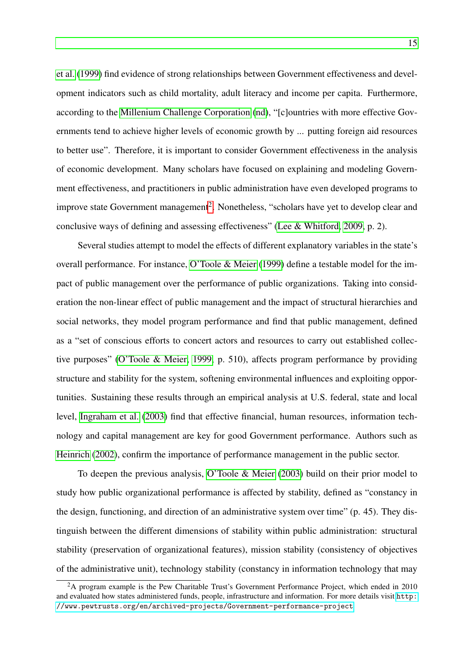[et al.](#page-56-4) [\(1999\)](#page-56-4) find evidence of strong relationships between Government effectiveness and development indicators such as child mortality, adult literacy and income per capita. Furthermore, according to the [Millenium Challenge Corporation](#page-57-9) [\(nd\)](#page-57-9), "[c]ountries with more effective Governments tend to achieve higher levels of economic growth by ... putting foreign aid resources to better use". Therefore, it is important to consider Government effectiveness in the analysis of economic development. Many scholars have focused on explaining and modeling Government effectiveness, and practitioners in public administration have even developed programs to improve state Government management<sup>[2](#page-14-0)</sup>. Nonetheless, "scholars have yet to develop clear and conclusive ways of defining and assessing effectiveness" [\(Lee & Whitford, 2009,](#page-57-6) p. 2).

Several studies attempt to model the effects of different explanatory variables in the state's overall performance. For instance, [O'Toole & Meier](#page-58-5) [\(1999\)](#page-58-5) define a testable model for the impact of public management over the performance of public organizations. Taking into consideration the non-linear effect of public management and the impact of structural hierarchies and social networks, they model program performance and find that public management, defined as a "set of conscious efforts to concert actors and resources to carry out established collective purposes" [\(O'Toole & Meier, 1999,](#page-58-5) p. 510), affects program performance by providing structure and stability for the system, softening environmental influences and exploiting opportunities. Sustaining these results through an empirical analysis at U.S. federal, state and local level, [Ingraham et al.](#page-56-5) [\(2003\)](#page-56-5) find that effective financial, human resources, information technology and capital management are key for good Government performance. Authors such as [Heinrich](#page-56-6) [\(2002\)](#page-56-6), confirm the importance of performance management in the public sector.

To deepen the previous analysis, [O'Toole & Meier](#page-58-6) [\(2003\)](#page-58-6) build on their prior model to study how public organizational performance is affected by stability, defined as "constancy in the design, functioning, and direction of an administrative system over time" (p. 45). They distinguish between the different dimensions of stability within public administration: structural stability (preservation of organizational features), mission stability (consistency of objectives of the administrative unit), technology stability (constancy in information technology that may

<span id="page-14-0"></span> $2A$  program example is the Pew Charitable Trust's Government Performance Project, which ended in 2010 and evaluated how states administered funds, people, infrastructure and information. For more details visit [http:](http://www.pewtrusts.org/en/archived-projects/Government-performance-project) [//www.pewtrusts.org/en/archived-projects/Government-performance-project](http://www.pewtrusts.org/en/archived-projects/Government-performance-project)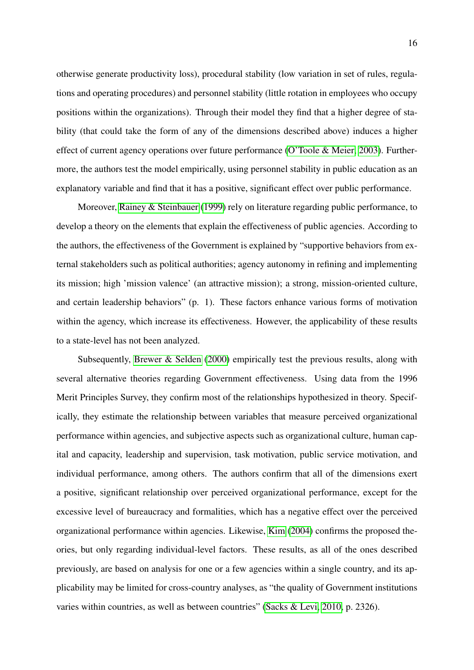otherwise generate productivity loss), procedural stability (low variation in set of rules, regulations and operating procedures) and personnel stability (little rotation in employees who occupy positions within the organizations). Through their model they find that a higher degree of stability (that could take the form of any of the dimensions described above) induces a higher effect of current agency operations over future performance [\(O'Toole & Meier, 2003\)](#page-58-6). Furthermore, the authors test the model empirically, using personnel stability in public education as an explanatory variable and find that it has a positive, significant effect over public performance.

Moreover, [Rainey & Steinbauer](#page-58-3) [\(1999\)](#page-58-3) rely on literature regarding public performance, to develop a theory on the elements that explain the effectiveness of public agencies. According to the authors, the effectiveness of the Government is explained by "supportive behaviors from external stakeholders such as political authorities; agency autonomy in refining and implementing its mission; high 'mission valence' (an attractive mission); a strong, mission-oriented culture, and certain leadership behaviors" (p. 1). These factors enhance various forms of motivation within the agency, which increase its effectiveness. However, the applicability of these results to a state-level has not been analyzed.

Subsequently, [Brewer & Selden](#page-54-2) [\(2000\)](#page-54-2) empirically test the previous results, along with several alternative theories regarding Government effectiveness. Using data from the 1996 Merit Principles Survey, they confirm most of the relationships hypothesized in theory. Specifically, they estimate the relationship between variables that measure perceived organizational performance within agencies, and subjective aspects such as organizational culture, human capital and capacity, leadership and supervision, task motivation, public service motivation, and individual performance, among others. The authors confirm that all of the dimensions exert a positive, significant relationship over perceived organizational performance, except for the excessive level of bureaucracy and formalities, which has a negative effect over the perceived organizational performance within agencies. Likewise, [Kim](#page-56-7) [\(2004\)](#page-56-7) confirms the proposed theories, but only regarding individual-level factors. These results, as all of the ones described previously, are based on analysis for one or a few agencies within a single country, and its applicability may be limited for cross-country analyses, as "the quality of Government institutions varies within countries, as well as between countries" [\(Sacks & Levi, 2010,](#page-59-3) p. 2326).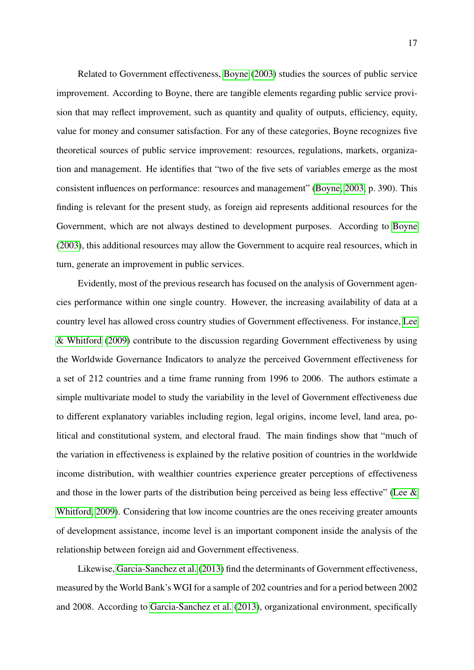Related to Government effectiveness, [Boyne](#page-54-3) [\(2003\)](#page-54-3) studies the sources of public service improvement. According to Boyne, there are tangible elements regarding public service provision that may reflect improvement, such as quantity and quality of outputs, efficiency, equity, value for money and consumer satisfaction. For any of these categories, Boyne recognizes five theoretical sources of public service improvement: resources, regulations, markets, organization and management. He identifies that "two of the five sets of variables emerge as the most consistent influences on performance: resources and management" [\(Boyne, 2003,](#page-54-3) p. 390). This finding is relevant for the present study, as foreign aid represents additional resources for the Government, which are not always destined to development purposes. According to [Boyne](#page-54-3) [\(2003\)](#page-54-3), this additional resources may allow the Government to acquire real resources, which in turn, generate an improvement in public services.

Evidently, most of the previous research has focused on the analysis of Government agencies performance within one single country. However, the increasing availability of data at a country level has allowed cross country studies of Government effectiveness. For instance, [Lee](#page-57-6) [& Whitford](#page-57-6) [\(2009\)](#page-57-6) contribute to the discussion regarding Government effectiveness by using the Worldwide Governance Indicators to analyze the perceived Government effectiveness for a set of 212 countries and a time frame running from 1996 to 2006. The authors estimate a simple multivariate model to study the variability in the level of Government effectiveness due to different explanatory variables including region, legal origins, income level, land area, political and constitutional system, and electoral fraud. The main findings show that "much of the variation in effectiveness is explained by the relative position of countries in the worldwide income distribution, with wealthier countries experience greater perceptions of effectiveness and those in the lower parts of the distribution being perceived as being less effective" [\(Lee &](#page-57-6) [Whitford, 2009\)](#page-57-6). Considering that low income countries are the ones receiving greater amounts of development assistance, income level is an important component inside the analysis of the relationship between foreign aid and Government effectiveness.

Likewise, [Garcia-Sanchez et al.](#page-55-9) [\(2013\)](#page-55-9) find the determinants of Government effectiveness, measured by the World Bank's WGI for a sample of 202 countries and for a period between 2002 and 2008. According to [Garcia-Sanchez et al.](#page-55-9) [\(2013\)](#page-55-9), organizational environment, specifically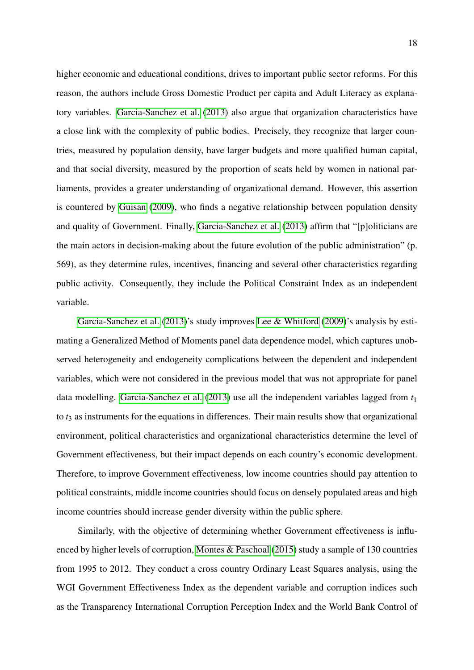higher economic and educational conditions, drives to important public sector reforms. For this reason, the authors include Gross Domestic Product per capita and Adult Literacy as explanatory variables. [Garcia-Sanchez et al.](#page-55-9) [\(2013\)](#page-55-9) also argue that organization characteristics have a close link with the complexity of public bodies. Precisely, they recognize that larger countries, measured by population density, have larger budgets and more qualified human capital, and that social diversity, measured by the proportion of seats held by women in national parliaments, provides a greater understanding of organizational demand. However, this assertion is countered by [Guisan](#page-56-8) [\(2009\)](#page-56-8), who finds a negative relationship between population density and quality of Government. Finally, [Garcia-Sanchez et al.](#page-55-9) [\(2013\)](#page-55-9) affirm that "[p]oliticians are the main actors in decision-making about the future evolution of the public administration" (p. 569), as they determine rules, incentives, financing and several other characteristics regarding public activity. Consequently, they include the Political Constraint Index as an independent variable.

[Garcia-Sanchez et al.](#page-55-9) [\(2013\)](#page-55-9)'s study improves [Lee & Whitford](#page-57-6) [\(2009\)](#page-57-6)'s analysis by estimating a Generalized Method of Moments panel data dependence model, which captures unobserved heterogeneity and endogeneity complications between the dependent and independent variables, which were not considered in the previous model that was not appropriate for panel data modelling. [Garcia-Sanchez et al.](#page-55-9) [\(2013\)](#page-55-9) use all the independent variables lagged from *t*<sup>1</sup> to *t*<sub>3</sub> as instruments for the equations in differences. Their main results show that organizational environment, political characteristics and organizational characteristics determine the level of Government effectiveness, but their impact depends on each country's economic development. Therefore, to improve Government effectiveness, low income countries should pay attention to political constraints, middle income countries should focus on densely populated areas and high income countries should increase gender diversity within the public sphere.

Similarly, with the objective of determining whether Government effectiveness is influenced by higher levels of corruption, [Montes & Paschoal](#page-57-8) [\(2015\)](#page-57-8) study a sample of 130 countries from 1995 to 2012. They conduct a cross country Ordinary Least Squares analysis, using the WGI Government Effectiveness Index as the dependent variable and corruption indices such as the Transparency International Corruption Perception Index and the World Bank Control of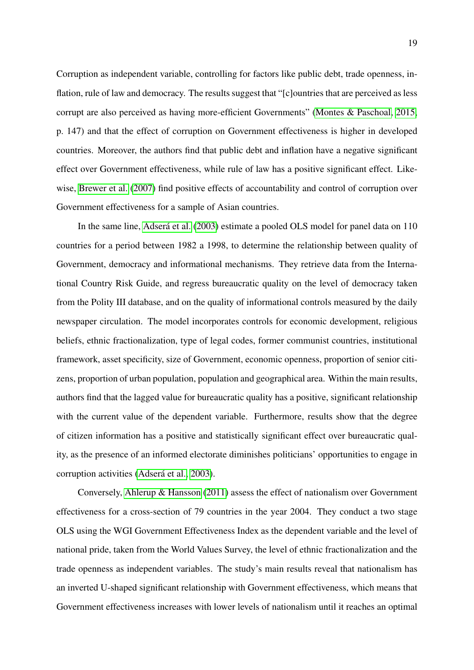Corruption as independent variable, controlling for factors like public debt, trade openness, inflation, rule of law and democracy. The results suggest that "[c]ountries that are perceived as less corrupt are also perceived as having more-efficient Governments" [\(Montes & Paschoal, 2015,](#page-57-8) p. 147) and that the effect of corruption on Government effectiveness is higher in developed countries. Moreover, the authors find that public debt and inflation have a negative significant effect over Government effectiveness, while rule of law has a positive significant effect. Likewise, [Brewer et al.](#page-54-4) [\(2007\)](#page-54-4) find positive effects of accountability and control of corruption over Government effectiveness for a sample of Asian countries.

In the same line, Adserá et al. [\(2003\)](#page-53-5) estimate a pooled OLS model for panel data on 110 countries for a period between 1982 a 1998, to determine the relationship between quality of Government, democracy and informational mechanisms. They retrieve data from the International Country Risk Guide, and regress bureaucratic quality on the level of democracy taken from the Polity III database, and on the quality of informational controls measured by the daily newspaper circulation. The model incorporates controls for economic development, religious beliefs, ethnic fractionalization, type of legal codes, former communist countries, institutional framework, asset specificity, size of Government, economic openness, proportion of senior citizens, proportion of urban population, population and geographical area. Within the main results, authors find that the lagged value for bureaucratic quality has a positive, significant relationship with the current value of the dependent variable. Furthermore, results show that the degree of citizen information has a positive and statistically significant effect over bureaucratic quality, as the presence of an informed electorate diminishes politicians' opportunities to engage in corruption activities (Adserá et al., 2003).

Conversely, [Ahlerup & Hansson](#page-53-6) [\(2011\)](#page-53-6) assess the effect of nationalism over Government effectiveness for a cross-section of 79 countries in the year 2004. They conduct a two stage OLS using the WGI Government Effectiveness Index as the dependent variable and the level of national pride, taken from the World Values Survey, the level of ethnic fractionalization and the trade openness as independent variables. The study's main results reveal that nationalism has an inverted U-shaped significant relationship with Government effectiveness, which means that Government effectiveness increases with lower levels of nationalism until it reaches an optimal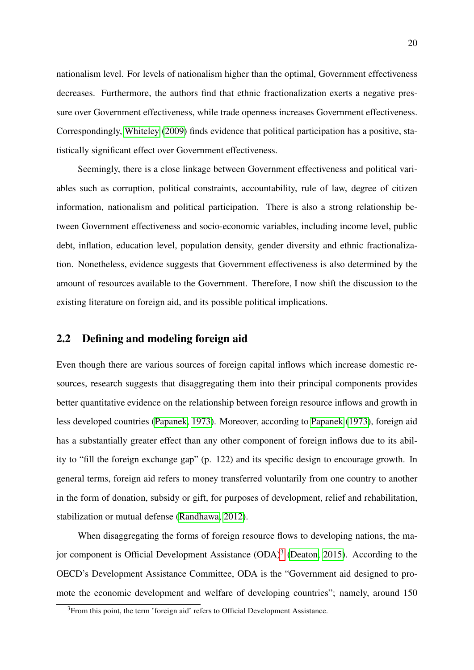nationalism level. For levels of nationalism higher than the optimal, Government effectiveness decreases. Furthermore, the authors find that ethnic fractionalization exerts a negative pressure over Government effectiveness, while trade openness increases Government effectiveness. Correspondingly, [Whiteley](#page-59-4) [\(2009\)](#page-59-4) finds evidence that political participation has a positive, statistically significant effect over Government effectiveness.

Seemingly, there is a close linkage between Government effectiveness and political variables such as corruption, political constraints, accountability, rule of law, degree of citizen information, nationalism and political participation. There is also a strong relationship between Government effectiveness and socio-economic variables, including income level, public debt, inflation, education level, population density, gender diversity and ethnic fractionalization. Nonetheless, evidence suggests that Government effectiveness is also determined by the amount of resources available to the Government. Therefore, I now shift the discussion to the existing literature on foreign aid, and its possible political implications.

#### <span id="page-19-0"></span>2.2 Defining and modeling foreign aid

Even though there are various sources of foreign capital inflows which increase domestic resources, research suggests that disaggregating them into their principal components provides better quantitative evidence on the relationship between foreign resource inflows and growth in less developed countries [\(Papanek, 1973\)](#page-58-7). Moreover, according to [Papanek](#page-58-7) [\(1973\)](#page-58-7), foreign aid has a substantially greater effect than any other component of foreign inflows due to its ability to "fill the foreign exchange gap" (p. 122) and its specific design to encourage growth. In general terms, foreign aid refers to money transferred voluntarily from one country to another in the form of donation, subsidy or gift, for purposes of development, relief and rehabilitation, stabilization or mutual defense [\(Randhawa, 2012\)](#page-58-8).

When disaggregating the forms of foreign resource flows to developing nations, the ma-jor component is Official Development Assistance (ODA)<sup>[3](#page-19-1)</sup> [\(Deaton, 2015\)](#page-55-3). According to the OECD's Development Assistance Committee, ODA is the "Government aid designed to promote the economic development and welfare of developing countries"; namely, around 150

<span id="page-19-1"></span><sup>&</sup>lt;sup>3</sup>From this point, the term 'foreign aid' refers to Official Development Assistance.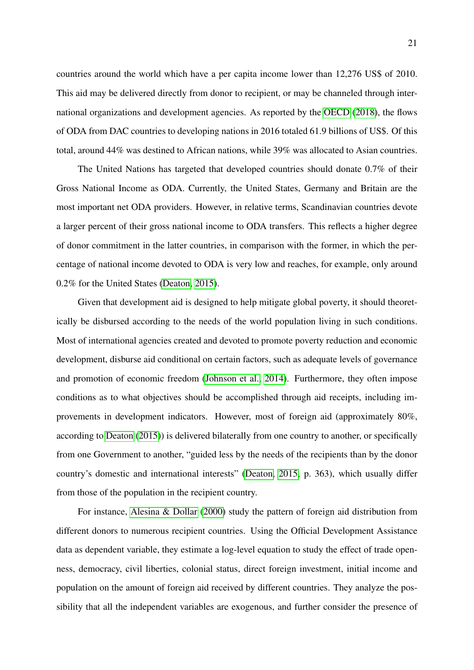countries around the world which have a per capita income lower than 12,276 US\$ of 2010. This aid may be delivered directly from donor to recipient, or may be channeled through international organizations and development agencies. As reported by the [OECD](#page-58-9) [\(2018\)](#page-58-9), the flows of ODA from DAC countries to developing nations in 2016 totaled 61.9 billions of US\$. Of this total, around 44% was destined to African nations, while 39% was allocated to Asian countries.

The United Nations has targeted that developed countries should donate 0.7% of their Gross National Income as ODA. Currently, the United States, Germany and Britain are the most important net ODA providers. However, in relative terms, Scandinavian countries devote a larger percent of their gross national income to ODA transfers. This reflects a higher degree of donor commitment in the latter countries, in comparison with the former, in which the percentage of national income devoted to ODA is very low and reaches, for example, only around 0.2% for the United States [\(Deaton, 2015\)](#page-55-3).

Given that development aid is designed to help mitigate global poverty, it should theoretically be disbursed according to the needs of the world population living in such conditions. Most of international agencies created and devoted to promote poverty reduction and economic development, disburse aid conditional on certain factors, such as adequate levels of governance and promotion of economic freedom [\(Johnson et al., 2014\)](#page-56-2). Furthermore, they often impose conditions as to what objectives should be accomplished through aid receipts, including improvements in development indicators. However, most of foreign aid (approximately 80%, according to [Deaton](#page-55-3) [\(2015\)](#page-55-3)) is delivered bilaterally from one country to another, or specifically from one Government to another, "guided less by the needs of the recipients than by the donor country's domestic and international interests" [\(Deaton, 2015,](#page-55-3) p. 363), which usually differ from those of the population in the recipient country.

For instance, [Alesina & Dollar](#page-53-7) [\(2000\)](#page-53-7) study the pattern of foreign aid distribution from different donors to numerous recipient countries. Using the Official Development Assistance data as dependent variable, they estimate a log-level equation to study the effect of trade openness, democracy, civil liberties, colonial status, direct foreign investment, initial income and population on the amount of foreign aid received by different countries. They analyze the possibility that all the independent variables are exogenous, and further consider the presence of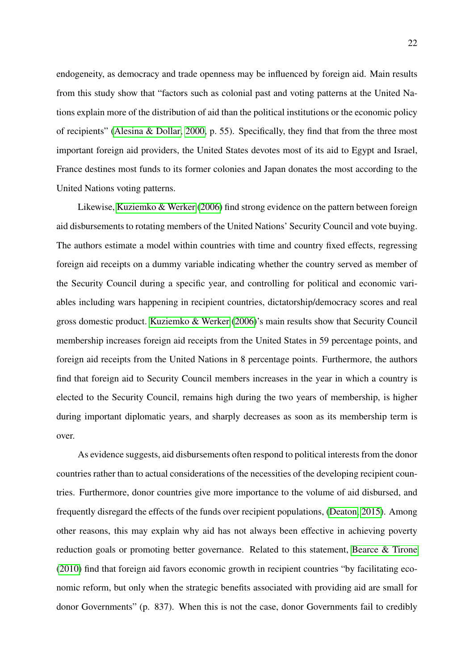endogeneity, as democracy and trade openness may be influenced by foreign aid. Main results from this study show that "factors such as colonial past and voting patterns at the United Nations explain more of the distribution of aid than the political institutions or the economic policy of recipients" [\(Alesina & Dollar, 2000,](#page-53-7) p. 55). Specifically, they find that from the three most important foreign aid providers, the United States devotes most of its aid to Egypt and Israel, France destines most funds to its former colonies and Japan donates the most according to the United Nations voting patterns.

Likewise, [Kuziemko & Werker](#page-57-5) [\(2006\)](#page-57-5) find strong evidence on the pattern between foreign aid disbursements to rotating members of the United Nations' Security Council and vote buying. The authors estimate a model within countries with time and country fixed effects, regressing foreign aid receipts on a dummy variable indicating whether the country served as member of the Security Council during a specific year, and controlling for political and economic variables including wars happening in recipient countries, dictatorship/democracy scores and real gross domestic product. [Kuziemko & Werker](#page-57-5) [\(2006\)](#page-57-5)'s main results show that Security Council membership increases foreign aid receipts from the United States in 59 percentage points, and foreign aid receipts from the United Nations in 8 percentage points. Furthermore, the authors find that foreign aid to Security Council members increases in the year in which a country is elected to the Security Council, remains high during the two years of membership, is higher during important diplomatic years, and sharply decreases as soon as its membership term is over.

As evidence suggests, aid disbursements often respond to political interests from the donor countries rather than to actual considerations of the necessities of the developing recipient countries. Furthermore, donor countries give more importance to the volume of aid disbursed, and frequently disregard the effects of the funds over recipient populations, [\(Deaton, 2015\)](#page-55-3). Among other reasons, this may explain why aid has not always been effective in achieving poverty reduction goals or promoting better governance. Related to this statement, [Bearce & Tirone](#page-54-5) [\(2010\)](#page-54-5) find that foreign aid favors economic growth in recipient countries "by facilitating economic reform, but only when the strategic benefits associated with providing aid are small for donor Governments" (p. 837). When this is not the case, donor Governments fail to credibly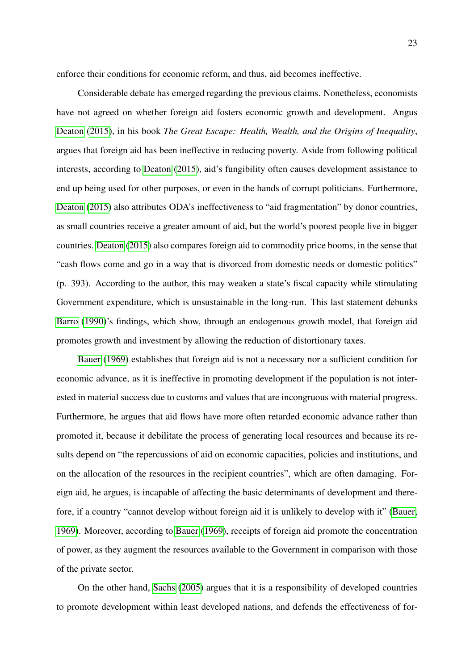enforce their conditions for economic reform, and thus, aid becomes ineffective.

Considerable debate has emerged regarding the previous claims. Nonetheless, economists have not agreed on whether foreign aid fosters economic growth and development. Angus [Deaton](#page-55-3) [\(2015\)](#page-55-3), in his book *The Great Escape: Health, Wealth, and the Origins of Inequality*, argues that foreign aid has been ineffective in reducing poverty. Aside from following political interests, according to [Deaton](#page-55-3) [\(2015\)](#page-55-3), aid's fungibility often causes development assistance to end up being used for other purposes, or even in the hands of corrupt politicians. Furthermore, [Deaton](#page-55-3) [\(2015\)](#page-55-3) also attributes ODA's ineffectiveness to "aid fragmentation" by donor countries, as small countries receive a greater amount of aid, but the world's poorest people live in bigger countries. [Deaton](#page-55-3) [\(2015\)](#page-55-3) also compares foreign aid to commodity price booms, in the sense that "cash flows come and go in a way that is divorced from domestic needs or domestic politics" (p. 393). According to the author, this may weaken a state's fiscal capacity while stimulating Government expenditure, which is unsustainable in the long-run. This last statement debunks [Barro](#page-54-6) [\(1990\)](#page-54-6)'s findings, which show, through an endogenous growth model, that foreign aid promotes growth and investment by allowing the reduction of distortionary taxes.

[Bauer](#page-54-7) [\(1969\)](#page-54-7) establishes that foreign aid is not a necessary nor a sufficient condition for economic advance, as it is ineffective in promoting development if the population is not interested in material success due to customs and values that are incongruous with material progress. Furthermore, he argues that aid flows have more often retarded economic advance rather than promoted it, because it debilitate the process of generating local resources and because its results depend on "the repercussions of aid on economic capacities, policies and institutions, and on the allocation of the resources in the recipient countries", which are often damaging. Foreign aid, he argues, is incapable of affecting the basic determinants of development and therefore, if a country "cannot develop without foreign aid it is unlikely to develop with it" [\(Bauer,](#page-54-7) [1969\)](#page-54-7). Moreover, according to [Bauer](#page-54-7) [\(1969\)](#page-54-7), receipts of foreign aid promote the concentration of power, as they augment the resources available to the Government in comparison with those of the private sector.

On the other hand, [Sachs](#page-58-0) [\(2005\)](#page-58-0) argues that it is a responsibility of developed countries to promote development within least developed nations, and defends the effectiveness of for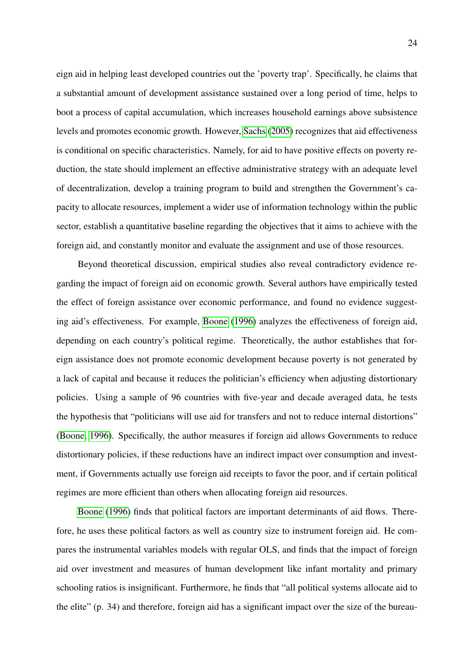eign aid in helping least developed countries out the 'poverty trap'. Specifically, he claims that a substantial amount of development assistance sustained over a long period of time, helps to boot a process of capital accumulation, which increases household earnings above subsistence levels and promotes economic growth. However, [Sachs](#page-58-0) [\(2005\)](#page-58-0) recognizes that aid effectiveness is conditional on specific characteristics. Namely, for aid to have positive effects on poverty reduction, the state should implement an effective administrative strategy with an adequate level of decentralization, develop a training program to build and strengthen the Government's capacity to allocate resources, implement a wider use of information technology within the public sector, establish a quantitative baseline regarding the objectives that it aims to achieve with the foreign aid, and constantly monitor and evaluate the assignment and use of those resources.

Beyond theoretical discussion, empirical studies also reveal contradictory evidence regarding the impact of foreign aid on economic growth. Several authors have empirically tested the effect of foreign assistance over economic performance, and found no evidence suggesting aid's effectiveness. For example, [Boone](#page-54-8) [\(1996\)](#page-54-8) analyzes the effectiveness of foreign aid, depending on each country's political regime. Theoretically, the author establishes that foreign assistance does not promote economic development because poverty is not generated by a lack of capital and because it reduces the politician's efficiency when adjusting distortionary policies. Using a sample of 96 countries with five-year and decade averaged data, he tests the hypothesis that "politicians will use aid for transfers and not to reduce internal distortions" [\(Boone, 1996\)](#page-54-8). Specifically, the author measures if foreign aid allows Governments to reduce distortionary policies, if these reductions have an indirect impact over consumption and investment, if Governments actually use foreign aid receipts to favor the poor, and if certain political regimes are more efficient than others when allocating foreign aid resources.

[Boone](#page-54-8) [\(1996\)](#page-54-8) finds that political factors are important determinants of aid flows. Therefore, he uses these political factors as well as country size to instrument foreign aid. He compares the instrumental variables models with regular OLS, and finds that the impact of foreign aid over investment and measures of human development like infant mortality and primary schooling ratios is insignificant. Furthermore, he finds that "all political systems allocate aid to the elite" (p. 34) and therefore, foreign aid has a significant impact over the size of the bureau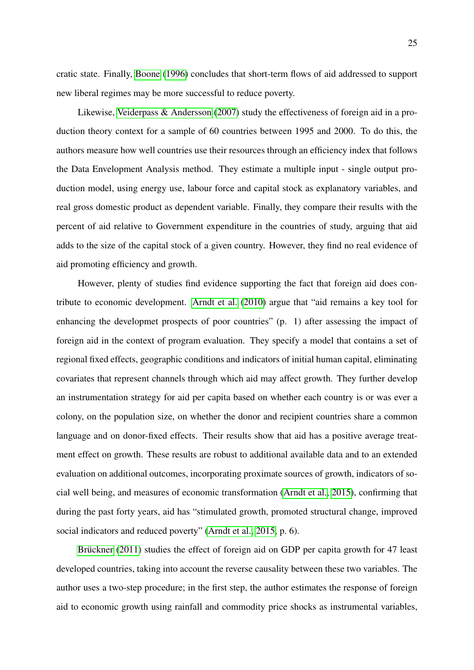cratic state. Finally, [Boone](#page-54-8) [\(1996\)](#page-54-8) concludes that short-term flows of aid addressed to support new liberal regimes may be more successful to reduce poverty.

Likewise, [Veiderpass & Andersson](#page-59-5) [\(2007\)](#page-59-5) study the effectiveness of foreign aid in a production theory context for a sample of 60 countries between 1995 and 2000. To do this, the authors measure how well countries use their resources through an efficiency index that follows the Data Envelopment Analysis method. They estimate a multiple input - single output production model, using energy use, labour force and capital stock as explanatory variables, and real gross domestic product as dependent variable. Finally, they compare their results with the percent of aid relative to Government expenditure in the countries of study, arguing that aid adds to the size of the capital stock of a given country. However, they find no real evidence of aid promoting efficiency and growth.

However, plenty of studies find evidence supporting the fact that foreign aid does contribute to economic development. [Arndt et al.](#page-53-1) [\(2010\)](#page-53-1) argue that "aid remains a key tool for enhancing the developmet prospects of poor countries" (p. 1) after assessing the impact of foreign aid in the context of program evaluation. They specify a model that contains a set of regional fixed effects, geographic conditions and indicators of initial human capital, eliminating covariates that represent channels through which aid may affect growth. They further develop an instrumentation strategy for aid per capita based on whether each country is or was ever a colony, on the population size, on whether the donor and recipient countries share a common language and on donor-fixed effects. Their results show that aid has a positive average treatment effect on growth. These results are robust to additional available data and to an extended evaluation on additional outcomes, incorporating proximate sources of growth, indicators of social well being, and measures of economic transformation [\(Arndt et al., 2015\)](#page-53-2), confirming that during the past forty years, aid has "stimulated growth, promoted structural change, improved social indicators and reduced poverty" [\(Arndt et al., 2015,](#page-53-2) p. 6).

Brückner [\(2011\)](#page-54-0) studies the effect of foreign aid on GDP per capita growth for 47 least developed countries, taking into account the reverse causality between these two variables. The author uses a two-step procedure; in the first step, the author estimates the response of foreign aid to economic growth using rainfall and commodity price shocks as instrumental variables,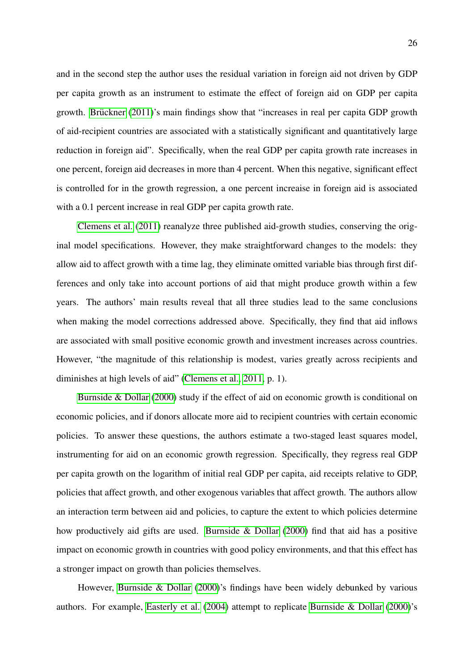and in the second step the author uses the residual variation in foreign aid not driven by GDP per capita growth as an instrument to estimate the effect of foreign aid on GDP per capita growth. Brückner  $(2011)$ 's main findings show that "increases in real per capita GDP growth of aid-recipient countries are associated with a statistically significant and quantitatively large reduction in foreign aid". Specifically, when the real GDP per capita growth rate increases in one percent, foreign aid decreases in more than 4 percent. When this negative, significant effect is controlled for in the growth regression, a one percent increaise in foreign aid is associated with a 0.1 percent increase in real GDP per capita growth rate.

[Clemens et al.](#page-55-1) [\(2011\)](#page-55-1) reanalyze three published aid-growth studies, conserving the original model specifications. However, they make straightforward changes to the models: they allow aid to affect growth with a time lag, they eliminate omitted variable bias through first differences and only take into account portions of aid that might produce growth within a few years. The authors' main results reveal that all three studies lead to the same conclusions when making the model corrections addressed above. Specifically, they find that aid inflows are associated with small positive economic growth and investment increases across countries. However, "the magnitude of this relationship is modest, varies greatly across recipients and diminishes at high levels of aid" [\(Clemens et al., 2011,](#page-55-1) p. 1).

[Burnside & Dollar](#page-54-1) [\(2000\)](#page-54-1) study if the effect of aid on economic growth is conditional on economic policies, and if donors allocate more aid to recipient countries with certain economic policies. To answer these questions, the authors estimate a two-staged least squares model, instrumenting for aid on an economic growth regression. Specifically, they regress real GDP per capita growth on the logarithm of initial real GDP per capita, aid receipts relative to GDP, policies that affect growth, and other exogenous variables that affect growth. The authors allow an interaction term between aid and policies, to capture the extent to which policies determine how productively aid gifts are used. [Burnside & Dollar](#page-54-1) [\(2000\)](#page-54-1) find that aid has a positive impact on economic growth in countries with good policy environments, and that this effect has a stronger impact on growth than policies themselves.

However, [Burnside & Dollar](#page-54-1) [\(2000\)](#page-54-1)'s findings have been widely debunked by various authors. For example, [Easterly et al.](#page-55-10) [\(2004\)](#page-55-10) attempt to replicate [Burnside & Dollar](#page-54-1) [\(2000\)](#page-54-1)'s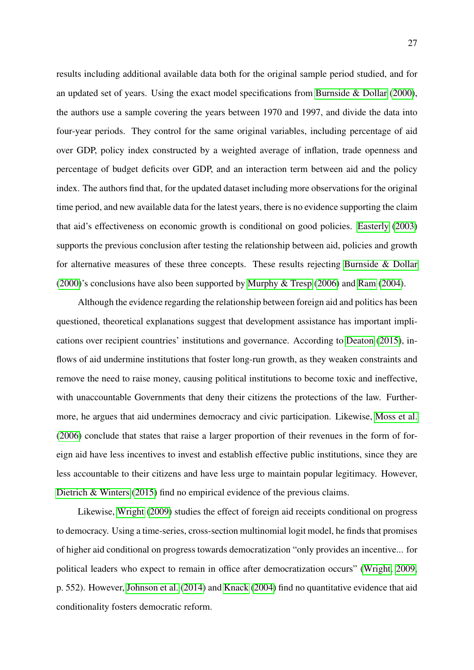results including additional available data both for the original sample period studied, and for an updated set of years. Using the exact model specifications from [Burnside & Dollar](#page-54-1) [\(2000\)](#page-54-1), the authors use a sample covering the years between 1970 and 1997, and divide the data into four-year periods. They control for the same original variables, including percentage of aid over GDP, policy index constructed by a weighted average of inflation, trade openness and percentage of budget deficits over GDP, and an interaction term between aid and the policy index. The authors find that, for the updated dataset including more observations for the original time period, and new available data for the latest years, there is no evidence supporting the claim that aid's effectiveness on economic growth is conditional on good policies. [Easterly](#page-55-2) [\(2003\)](#page-55-2) supports the previous conclusion after testing the relationship between aid, policies and growth for alternative measures of these three concepts. These results rejecting [Burnside & Dollar](#page-54-1) [\(2000\)](#page-54-1)'s conclusions have also been supported by [Murphy & Tresp](#page-57-2) [\(2006\)](#page-57-2) and [Ram](#page-58-10) [\(2004\)](#page-58-10).

Although the evidence regarding the relationship between foreign aid and politics has been questioned, theoretical explanations suggest that development assistance has important implications over recipient countries' institutions and governance. According to [Deaton](#page-55-3) [\(2015\)](#page-55-3), inflows of aid undermine institutions that foster long-run growth, as they weaken constraints and remove the need to raise money, causing political institutions to become toxic and ineffective, with unaccountable Governments that deny their citizens the protections of the law. Furthermore, he argues that aid undermines democracy and civic participation. Likewise, [Moss et al.](#page-57-4) [\(2006\)](#page-57-4) conclude that states that raise a larger proportion of their revenues in the form of foreign aid have less incentives to invest and establish effective public institutions, since they are less accountable to their citizens and have less urge to maintain popular legitimacy. However, [Dietrich & Winters](#page-55-8) [\(2015\)](#page-55-8) find no empirical evidence of the previous claims.

Likewise, [Wright](#page-59-1) [\(2009\)](#page-59-1) studies the effect of foreign aid receipts conditional on progress to democracy. Using a time-series, cross-section multinomial logit model, he finds that promises of higher aid conditional on progress towards democratization "only provides an incentive... for political leaders who expect to remain in office after democratization occurs" [\(Wright, 2009,](#page-59-1) p. 552). However, [Johnson et al.](#page-56-2) [\(2014\)](#page-56-2) and [Knack](#page-57-3) [\(2004\)](#page-57-3) find no quantitative evidence that aid conditionality fosters democratic reform.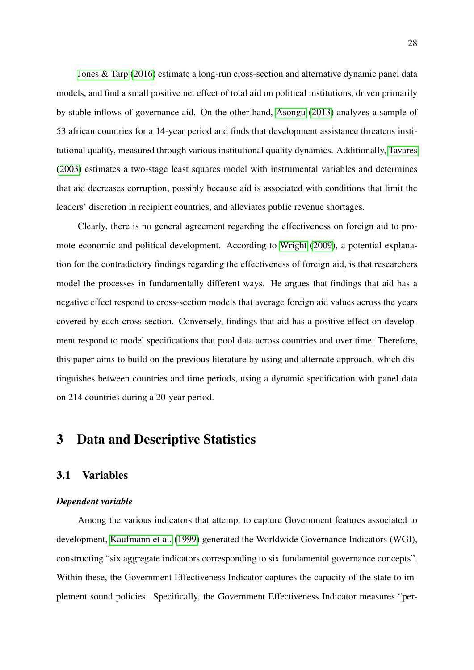[Jones & Tarp](#page-56-0) [\(2016\)](#page-56-0) estimate a long-run cross-section and alternative dynamic panel data models, and find a small positive net effect of total aid on political institutions, driven primarily by stable inflows of governance aid. On the other hand, [Asongu](#page-54-9) [\(2013\)](#page-54-9) analyzes a sample of 53 african countries for a 14-year period and finds that development assistance threatens institutional quality, measured through various institutional quality dynamics. Additionally, [Tavares](#page-59-2) [\(2003\)](#page-59-2) estimates a two-stage least squares model with instrumental variables and determines that aid decreases corruption, possibly because aid is associated with conditions that limit the leaders' discretion in recipient countries, and alleviates public revenue shortages.

Clearly, there is no general agreement regarding the effectiveness on foreign aid to promote economic and political development. According to [Wright](#page-59-1) [\(2009\)](#page-59-1), a potential explanation for the contradictory findings regarding the effectiveness of foreign aid, is that researchers model the processes in fundamentally different ways. He argues that findings that aid has a negative effect respond to cross-section models that average foreign aid values across the years covered by each cross section. Conversely, findings that aid has a positive effect on development respond to model specifications that pool data across countries and over time. Therefore, this paper aims to build on the previous literature by using and alternate approach, which distinguishes between countries and time periods, using a dynamic specification with panel data on 214 countries during a 20-year period.

### <span id="page-27-0"></span>3 Data and Descriptive Statistics

#### <span id="page-27-1"></span>3.1 Variables

#### *Dependent variable*

Among the various indicators that attempt to capture Government features associated to development, [Kaufmann et al.](#page-56-4) [\(1999\)](#page-56-4) generated the Worldwide Governance Indicators (WGI), constructing "six aggregate indicators corresponding to six fundamental governance concepts". Within these, the Government Effectiveness Indicator captures the capacity of the state to implement sound policies. Specifically, the Government Effectiveness Indicator measures "per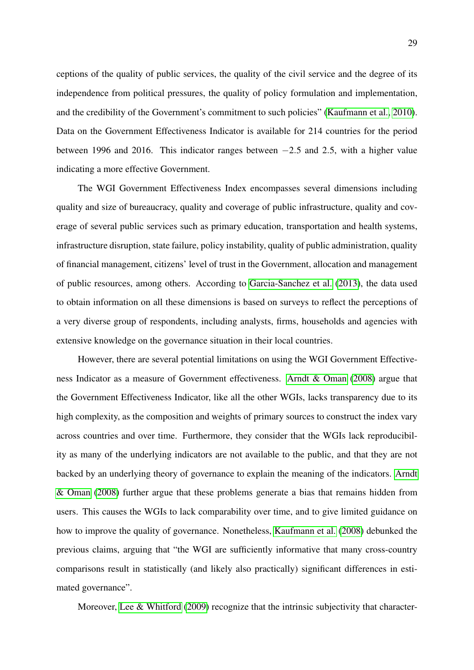ceptions of the quality of public services, the quality of the civil service and the degree of its independence from political pressures, the quality of policy formulation and implementation, and the credibility of the Government's commitment to such policies" [\(Kaufmann et al., 2010\)](#page-56-3). Data on the Government Effectiveness Indicator is available for 214 countries for the period between 1996 and 2016. This indicator ranges between −2.5 and 2.5, with a higher value indicating a more effective Government.

The WGI Government Effectiveness Index encompasses several dimensions including quality and size of bureaucracy, quality and coverage of public infrastructure, quality and coverage of several public services such as primary education, transportation and health systems, infrastructure disruption, state failure, policy instability, quality of public administration, quality of financial management, citizens' level of trust in the Government, allocation and management of public resources, among others. According to [Garcia-Sanchez et al.](#page-55-9) [\(2013\)](#page-55-9), the data used to obtain information on all these dimensions is based on surveys to reflect the perceptions of a very diverse group of respondents, including analysts, firms, households and agencies with extensive knowledge on the governance situation in their local countries.

However, there are several potential limitations on using the WGI Government Effectiveness Indicator as a measure of Government effectiveness. [Arndt & Oman](#page-53-8) [\(2008\)](#page-53-8) argue that the Government Effectiveness Indicator, like all the other WGIs, lacks transparency due to its high complexity, as the composition and weights of primary sources to construct the index vary across countries and over time. Furthermore, they consider that the WGIs lack reproducibility as many of the underlying indicators are not available to the public, and that they are not backed by an underlying theory of governance to explain the meaning of the indicators. [Arndt](#page-53-8) [& Oman](#page-53-8) [\(2008\)](#page-53-8) further argue that these problems generate a bias that remains hidden from users. This causes the WGIs to lack comparability over time, and to give limited guidance on how to improve the quality of governance. Nonetheless, [Kaufmann et al.](#page-56-9) [\(2008\)](#page-56-9) debunked the previous claims, arguing that "the WGI are sufficiently informative that many cross-country comparisons result in statistically (and likely also practically) significant differences in estimated governance".

Moreover, [Lee & Whitford](#page-57-6) [\(2009\)](#page-57-6) recognize that the intrinsic subjectivity that character-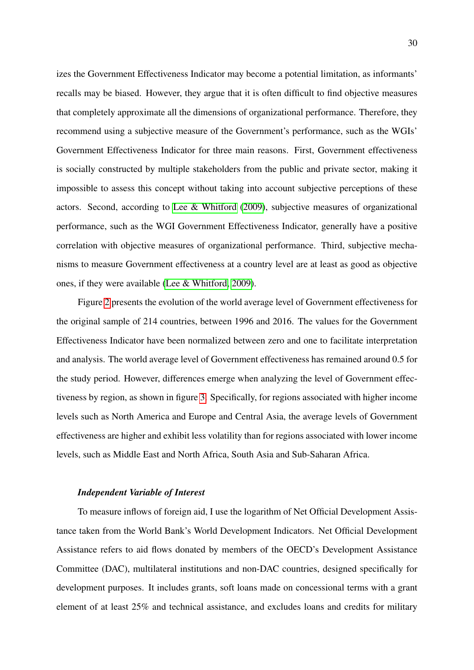izes the Government Effectiveness Indicator may become a potential limitation, as informants' recalls may be biased. However, they argue that it is often difficult to find objective measures that completely approximate all the dimensions of organizational performance. Therefore, they recommend using a subjective measure of the Government's performance, such as the WGIs' Government Effectiveness Indicator for three main reasons. First, Government effectiveness is socially constructed by multiple stakeholders from the public and private sector, making it impossible to assess this concept without taking into account subjective perceptions of these actors. Second, according to [Lee & Whitford](#page-57-6) [\(2009\)](#page-57-6), subjective measures of organizational performance, such as the WGI Government Effectiveness Indicator, generally have a positive correlation with objective measures of organizational performance. Third, subjective mechanisms to measure Government effectiveness at a country level are at least as good as objective ones, if they were available [\(Lee & Whitford, 2009\)](#page-57-6).

Figure [2](#page-30-0) presents the evolution of the world average level of Government effectiveness for the original sample of 214 countries, between 1996 and 2016. The values for the Government Effectiveness Indicator have been normalized between zero and one to facilitate interpretation and analysis. The world average level of Government effectiveness has remained around 0.5 for the study period. However, differences emerge when analyzing the level of Government effectiveness by region, as shown in figure [3.](#page-30-1) Specifically, for regions associated with higher income levels such as North America and Europe and Central Asia, the average levels of Government effectiveness are higher and exhibit less volatility than for regions associated with lower income levels, such as Middle East and North Africa, South Asia and Sub-Saharan Africa.

#### *Independent Variable of Interest*

To measure inflows of foreign aid, I use the logarithm of Net Official Development Assistance taken from the World Bank's World Development Indicators. Net Official Development Assistance refers to aid flows donated by members of the OECD's Development Assistance Committee (DAC), multilateral institutions and non-DAC countries, designed specifically for development purposes. It includes grants, soft loans made on concessional terms with a grant element of at least 25% and technical assistance, and excludes loans and credits for military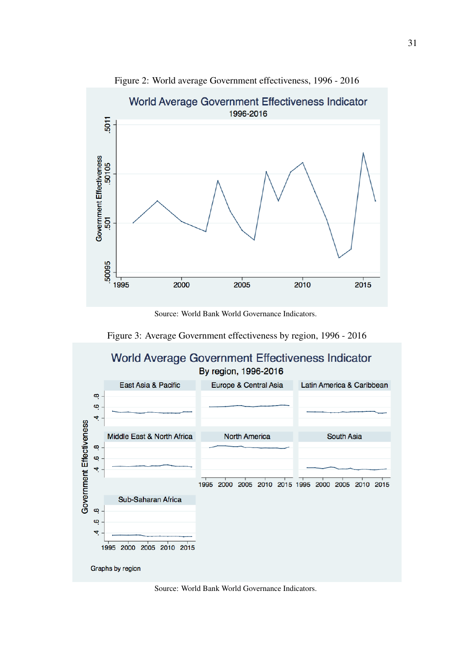<span id="page-30-0"></span>

Figure 2: World average Government effectiveness, 1996 - 2016

Source: World Bank World Governance Indicators.



<span id="page-30-1"></span>

Source: World Bank World Governance Indicators.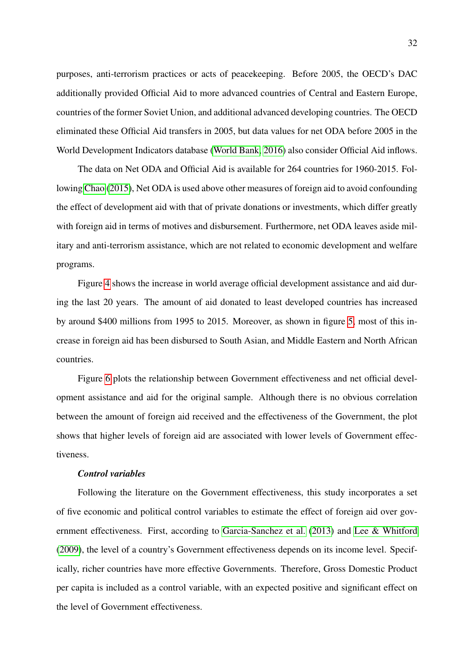purposes, anti-terrorism practices or acts of peacekeeping. Before 2005, the OECD's DAC additionally provided Official Aid to more advanced countries of Central and Eastern Europe, countries of the former Soviet Union, and additional advanced developing countries. The OECD eliminated these Official Aid transfers in 2005, but data values for net ODA before 2005 in the World Development Indicators database [\(World Bank, 2016\)](#page-59-6) also consider Official Aid inflows.

The data on Net ODA and Official Aid is available for 264 countries for 1960-2015. Following [Chao](#page-55-11) [\(2015\)](#page-55-11), Net ODA is used above other measures of foreign aid to avoid confounding the effect of development aid with that of private donations or investments, which differ greatly with foreign aid in terms of motives and disbursement. Furthermore, net ODA leaves aside military and anti-terrorism assistance, which are not related to economic development and welfare programs.

Figure [4](#page-32-0) shows the increase in world average official development assistance and aid during the last 20 years. The amount of aid donated to least developed countries has increased by around \$400 millions from 1995 to 2015. Moreover, as shown in figure [5,](#page-32-1) most of this increase in foreign aid has been disbursed to South Asian, and Middle Eastern and North African countries.

Figure [6](#page-33-0) plots the relationship between Government effectiveness and net official development assistance and aid for the original sample. Although there is no obvious correlation between the amount of foreign aid received and the effectiveness of the Government, the plot shows that higher levels of foreign aid are associated with lower levels of Government effectiveness.

#### *Control variables*

Following the literature on the Government effectiveness, this study incorporates a set of five economic and political control variables to estimate the effect of foreign aid over government effectiveness. First, according to [Garcia-Sanchez et al.](#page-55-9) [\(2013\)](#page-55-9) and [Lee & Whitford](#page-57-6) [\(2009\)](#page-57-6), the level of a country's Government effectiveness depends on its income level. Specifically, richer countries have more effective Governments. Therefore, Gross Domestic Product per capita is included as a control variable, with an expected positive and significant effect on the level of Government effectiveness.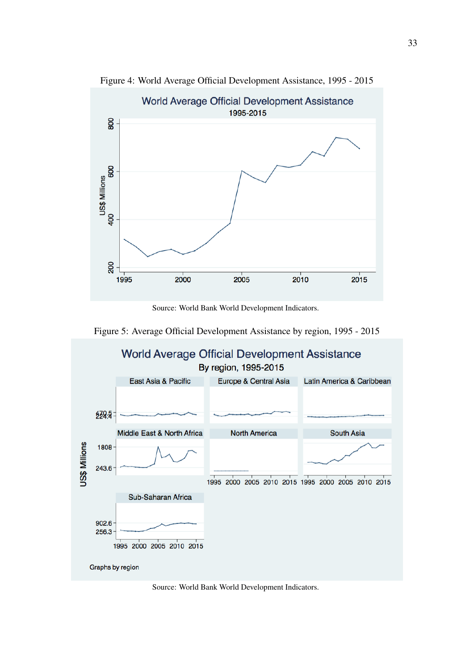<span id="page-32-0"></span>

Figure 4: World Average Official Development Assistance, 1995 - 2015

Source: World Bank World Development Indicators.

<span id="page-32-1"></span>

Source: World Bank World Development Indicators.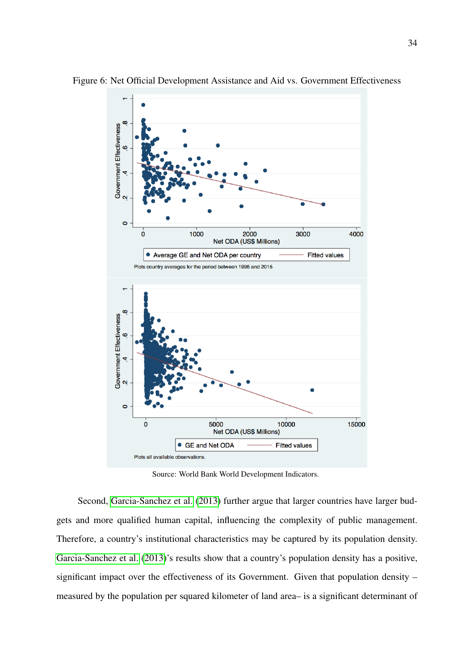

<span id="page-33-0"></span>Figure 6: Net Official Development Assistance and Aid vs. Government Effectiveness

Source: World Bank World Development Indicators.

Second, [Garcia-Sanchez et al.](#page-55-9) [\(2013\)](#page-55-9) further argue that larger countries have larger budgets and more qualified human capital, influencing the complexity of public management. Therefore, a country's institutional characteristics may be captured by its population density. [Garcia-Sanchez et al.](#page-55-9) [\(2013\)](#page-55-9)'s results show that a country's population density has a positive, significant impact over the effectiveness of its Government. Given that population density – measured by the population per squared kilometer of land area– is a significant determinant of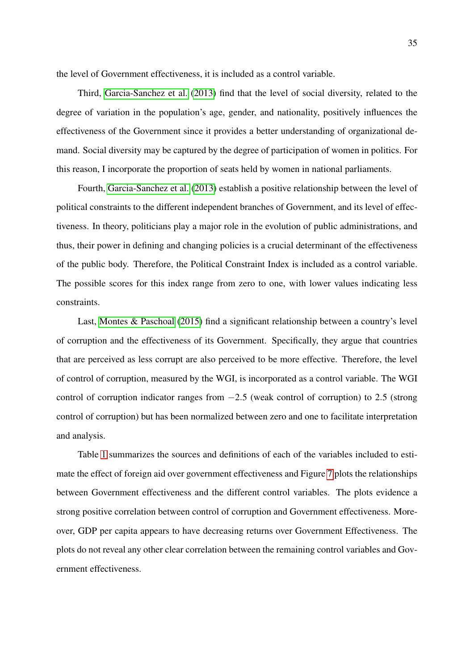the level of Government effectiveness, it is included as a control variable.

Third, [Garcia-Sanchez et al.](#page-55-9) [\(2013\)](#page-55-9) find that the level of social diversity, related to the degree of variation in the population's age, gender, and nationality, positively influences the effectiveness of the Government since it provides a better understanding of organizational demand. Social diversity may be captured by the degree of participation of women in politics. For this reason, I incorporate the proportion of seats held by women in national parliaments.

Fourth, [Garcia-Sanchez et al.](#page-55-9) [\(2013\)](#page-55-9) establish a positive relationship between the level of political constraints to the different independent branches of Government, and its level of effectiveness. In theory, politicians play a major role in the evolution of public administrations, and thus, their power in defining and changing policies is a crucial determinant of the effectiveness of the public body. Therefore, the Political Constraint Index is included as a control variable. The possible scores for this index range from zero to one, with lower values indicating less constraints.

Last, [Montes & Paschoal](#page-57-8) [\(2015\)](#page-57-8) find a significant relationship between a country's level of corruption and the effectiveness of its Government. Specifically, they argue that countries that are perceived as less corrupt are also perceived to be more effective. Therefore, the level of control of corruption, measured by the WGI, is incorporated as a control variable. The WGI control of corruption indicator ranges from  $-2.5$  (weak control of corruption) to 2.5 (strong control of corruption) but has been normalized between zero and one to facilitate interpretation and analysis.

Table [1](#page-35-0) summarizes the sources and definitions of each of the variables included to estimate the effect of foreign aid over government effectiveness and Figure [7](#page-35-1) plots the relationships between Government effectiveness and the different control variables. The plots evidence a strong positive correlation between control of corruption and Government effectiveness. Moreover, GDP per capita appears to have decreasing returns over Government Effectiveness. The plots do not reveal any other clear correlation between the remaining control variables and Government effectiveness.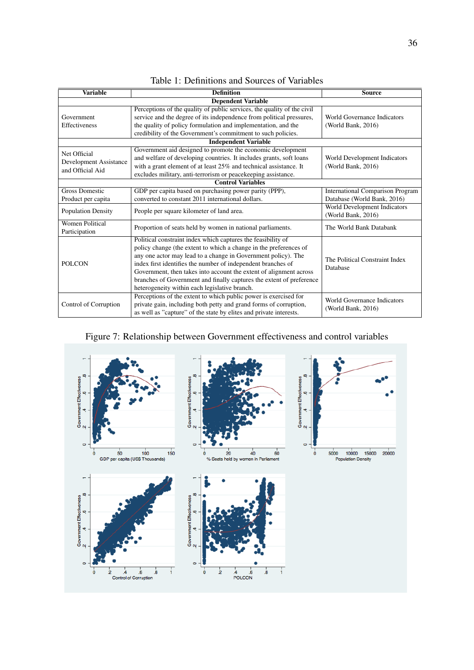<span id="page-35-0"></span>

| <b>Variable</b>                         | <b>Definition</b>                                                       | <b>Source</b>                                      |  |  |  |
|-----------------------------------------|-------------------------------------------------------------------------|----------------------------------------------------|--|--|--|
|                                         | <b>Dependent Variable</b>                                               |                                                    |  |  |  |
|                                         | Perceptions of the quality of public services, the quality of the civil |                                                    |  |  |  |
| Government                              | service and the degree of its independence from political pressures,    | World Governance Indicators                        |  |  |  |
| <b>Effectiveness</b>                    | the quality of policy formulation and implementation, and the           | (World Bank, 2016)                                 |  |  |  |
|                                         | credibility of the Government's commitment to such policies.            |                                                    |  |  |  |
|                                         | <b>Independent Variable</b>                                             |                                                    |  |  |  |
| Net Official                            | Government aid designed to promote the economic development             |                                                    |  |  |  |
| Development Assistance                  | and welfare of developing countries. It includes grants, soft loans     | World Development Indicators                       |  |  |  |
| and Official Aid                        | with a grant element of at least 25% and technical assistance. It       | (World Bank, 2016)                                 |  |  |  |
|                                         | excludes military, anti-terrorism or peacekeeping assistance.           |                                                    |  |  |  |
| <b>Control Variables</b>                |                                                                         |                                                    |  |  |  |
| <b>Gross Domestic</b>                   | GDP per capita based on purchasing power parity (PPP),                  | <b>International Comparison Program</b>            |  |  |  |
| Product per capita                      | converted to constant 2011 international dollars.                       | Database (World Bank, 2016)                        |  |  |  |
| <b>Population Density</b>               | People per square kilometer of land area.                               | World Development Indicators<br>(World Bank, 2016) |  |  |  |
| <b>Women Political</b><br>Participation | Proportion of seats held by women in national parliaments.              | The World Bank Databank                            |  |  |  |
|                                         | Political constraint index which captures the feasibility of            |                                                    |  |  |  |
|                                         | policy change (the extent to which a change in the preferences of       |                                                    |  |  |  |
|                                         | any one actor may lead to a change in Government policy). The           | The Political Constraint Index                     |  |  |  |
| <b>POLCON</b>                           | index first identifies the number of independent branches of            | Database                                           |  |  |  |
|                                         | Government, then takes into account the extent of alignment across      |                                                    |  |  |  |
|                                         | branches of Government and finally captures the extent of preference    |                                                    |  |  |  |
|                                         | heterogeneity within each legislative branch.                           |                                                    |  |  |  |
|                                         | Perceptions of the extent to which public power is exercised for        | World Governance Indicators                        |  |  |  |
| Control of Corruption                   | private gain, including both petty and grand forms of corruption,       | (World Bank, 2016)                                 |  |  |  |
|                                         | as well as "capture" of the state by elites and private interests.      |                                                    |  |  |  |

| Table 1: Definitions and Sources of Variables |
|-----------------------------------------------|
|-----------------------------------------------|

## Figure 7: Relationship between Government effectiveness and control variables

<span id="page-35-1"></span>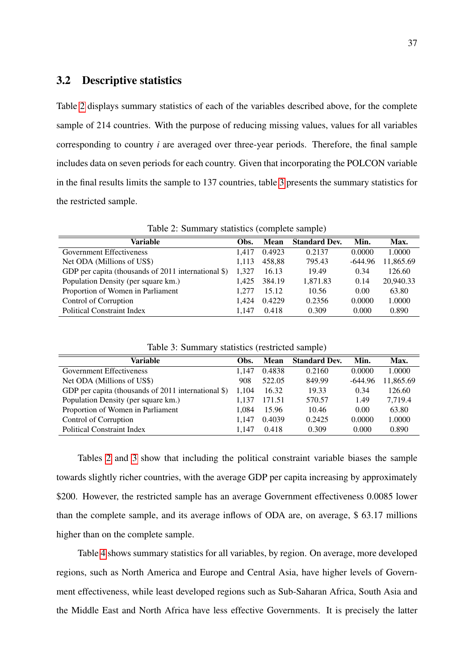#### <span id="page-36-0"></span>3.2 Descriptive statistics

Table [2](#page-36-1) displays summary statistics of each of the variables described above, for the complete sample of 214 countries. With the purpose of reducing missing values, values for all variables corresponding to country *i* are averaged over three-year periods. Therefore, the final sample includes data on seven periods for each country. Given that incorporating the POLCON variable in the final results limits the sample to 137 countries, table [3](#page-36-2) presents the summary statistics for the restricted sample.

<span id="page-36-1"></span>

| raore $\mathcal{L}$ . Summary statistics (comprete sample) |       |             |                      |           |           |  |  |  |  |
|------------------------------------------------------------|-------|-------------|----------------------|-----------|-----------|--|--|--|--|
| Variable                                                   | Obs.  | <b>Mean</b> | <b>Standard Dev.</b> | Min.      | Max.      |  |  |  |  |
| <b>Government Effectiveness</b>                            | 1.417 | 0.4923      | 0.2137               | 0.0000    | 1.0000    |  |  |  |  |
| Net ODA (Millions of US\$)                                 | 1,113 | 458.88      | 795.43               | $-644.96$ | 11,865.69 |  |  |  |  |
| GDP per capita (thousands of $2011$ international \$)      | 1.327 | 16.13       | 19.49                | 0.34      | 126.60    |  |  |  |  |
| Population Density (per square km.)                        |       | 384.19      | 1,871.83             | 0.14      | 20,940.33 |  |  |  |  |
| Proportion of Women in Parliament                          | 1.277 | 15.12       | 10.56                | 0.00      | 63.80     |  |  |  |  |
| Control of Corruption                                      | 1.424 | 0.4229      | 0.2356               | 0.0000    | 1.0000    |  |  |  |  |
| <b>Political Constraint Index</b>                          | 1.147 | 0.418       | 0.309                | 0.000     | 0.890     |  |  |  |  |

Table 2: Summary statistics (complete sample)

<span id="page-36-2"></span>

| Table 3: Summary statistics (restricted sample)       |       |        |                      |           |           |  |  |  |  |
|-------------------------------------------------------|-------|--------|----------------------|-----------|-----------|--|--|--|--|
| Variable                                              | Obs.  | Mean   | <b>Standard Dev.</b> | Min.      | Max.      |  |  |  |  |
| <b>Government Effectiveness</b>                       | 1.147 | 0.4838 | 0.2160               | 0.0000    | 1.0000    |  |  |  |  |
| Net ODA (Millions of US\$)                            | 908   | 522.05 | 849.99               | $-644.96$ | 11,865.69 |  |  |  |  |
| GDP per capita (thousands of $2011$ international \$) | 1.104 | 16.32  | 19.33                | 0.34      | 126.60    |  |  |  |  |
| Population Density (per square km.)                   | 1.137 | 171.51 | 570.57               | 1.49      | 7.719.4   |  |  |  |  |
| Proportion of Women in Parliament                     | 1.084 | 15.96  | 10.46                | 0.00      | 63.80     |  |  |  |  |
| Control of Corruption                                 | 1.147 | 0.4039 | 0.2425               | 0.0000    | 1.0000    |  |  |  |  |
| <b>Political Constraint Index</b>                     | 1.147 | 0.418  | 0.309                | 0.000     | 0.890     |  |  |  |  |

Table 3: Summary statistics (restricted sample)

Tables [2](#page-36-1) and [3](#page-36-2) show that including the political constraint variable biases the sample towards slightly richer countries, with the average GDP per capita increasing by approximately \$200. However, the restricted sample has an average Government effectiveness 0.0085 lower than the complete sample, and its average inflows of ODA are, on average, \$ 63.17 millions higher than on the complete sample.

Table [4](#page-37-1) shows summary statistics for all variables, by region. On average, more developed regions, such as North America and Europe and Central Asia, have higher levels of Government effectiveness, while least developed regions such as Sub-Saharan Africa, South Asia and the Middle East and North Africa have less effective Governments. It is precisely the latter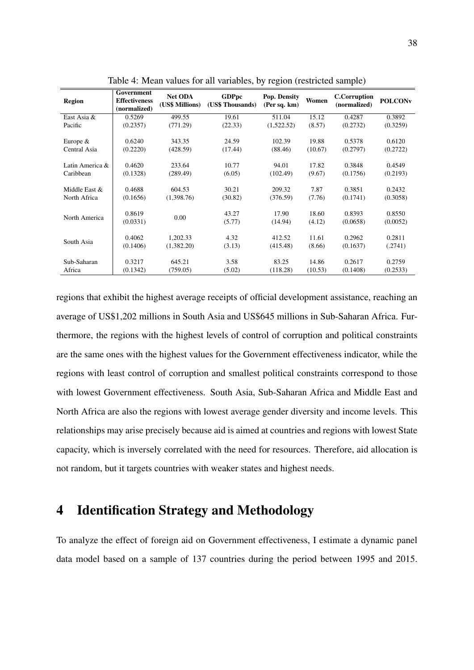<span id="page-37-1"></span>

| Region                        | Government<br><b>Effectiveness</b><br>(normalized) | <b>Net ODA</b><br>(US\$ Millions) | <b>GDPpc</b><br>(US\$ Thousands) | Pop. Density<br>(Per sq. km) | Women           | <b>C.Corruption</b><br>(normalized) | <b>POLCONV</b>     |
|-------------------------------|----------------------------------------------------|-----------------------------------|----------------------------------|------------------------------|-----------------|-------------------------------------|--------------------|
| East Asia &                   | 0.5269                                             | 499.55                            | 19.61                            | 511.04                       | 15.12           | 0.4287                              | 0.3892             |
| Pacific                       | (0.2357)                                           | (771.29)                          | (22.33)                          | (1,522.52)                   | (8.57)          | (0.2732)                            | (0.3259)           |
|                               |                                                    |                                   |                                  |                              |                 |                                     |                    |
| Europe $&$                    | 0.6240                                             | 343.35                            | 24.59                            | 102.39                       | 19.88           | 0.5378                              | 0.6120             |
| Central Asia                  | (0.2220)                                           | (428.59)                          | (17.44)                          | (88.46)                      | (10.67)         | (0.2797)                            | (0.2722)           |
| Latin America &               | 0.4620                                             | 233.64                            | 10.77                            | 94.01                        | 17.82           | 0.3848                              | 0.4549             |
| Caribbean                     | (0.1328)                                           | (289.49)                          | (6.05)                           | (102.49)                     | (9.67)          | (0.1756)                            | (0.2193)           |
| Middle East &<br>North Africa | 0.4688<br>(0.1656)                                 | 604.53<br>(1,398.76)              | 30.21<br>(30.82)                 | 209.32<br>(376.59)           | 7.87<br>(7.76)  | 0.3851<br>(0.1741)                  | 0.2432<br>(0.3058) |
| North America                 | 0.8619<br>(0.0331)                                 | 0.00                              | 43.27<br>(5.77)                  | 17.90<br>(14.94)             | 18.60<br>(4.12) | 0.8393<br>(0.0658)                  | 0.8550<br>(0.0052) |
| South Asia                    | 0.4062<br>(0.1406)                                 | 1,202.33<br>(1,382.20)            | 4.32<br>(3.13)                   | 412.52<br>(415.48)           | 11.61<br>(8.66) | 0.2962<br>(0.1637)                  | 0.2811<br>(.2741)  |
| Sub-Saharan                   | 0.3217                                             | 645.21                            | 3.58                             | 83.25                        | 14.86           | 0.2617                              | 0.2759             |
| Africa                        | (0.1342)                                           | (759.05)                          | (5.02)                           | (118.28)                     | (10.53)         | (0.1408)                            | (0.2533)           |

Table 4: Mean values for all variables, by region (restricted sample)

regions that exhibit the highest average receipts of official development assistance, reaching an average of US\$1,202 millions in South Asia and US\$645 millions in Sub-Saharan Africa. Furthermore, the regions with the highest levels of control of corruption and political constraints are the same ones with the highest values for the Government effectiveness indicator, while the regions with least control of corruption and smallest political constraints correspond to those with lowest Government effectiveness. South Asia, Sub-Saharan Africa and Middle East and North Africa are also the regions with lowest average gender diversity and income levels. This relationships may arise precisely because aid is aimed at countries and regions with lowest State capacity, which is inversely correlated with the need for resources. Therefore, aid allocation is not random, but it targets countries with weaker states and highest needs.

### <span id="page-37-0"></span>4 Identification Strategy and Methodology

To analyze the effect of foreign aid on Government effectiveness, I estimate a dynamic panel data model based on a sample of 137 countries during the period between 1995 and 2015.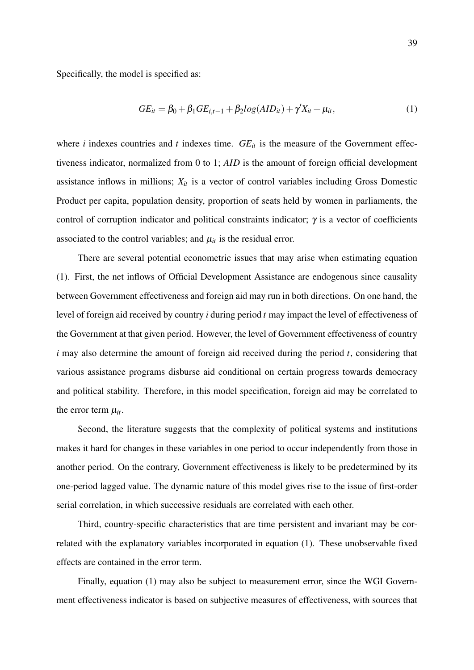Specifically, the model is specified as:

$$
GE_{it} = \beta_0 + \beta_1 GE_{i,t-1} + \beta_2 log(AD_{it}) + \gamma' X_{it} + \mu_{it},
$$
\n(1)

where *i* indexes countries and *t* indexes time.  $GE_{it}$  is the measure of the Government effectiveness indicator, normalized from 0 to 1; *AID* is the amount of foreign official development assistance inflows in millions;  $X_{it}$  is a vector of control variables including Gross Domestic Product per capita, population density, proportion of seats held by women in parliaments, the control of corruption indicator and political constraints indicator;  $\gamma$  is a vector of coefficients associated to the control variables; and  $\mu_{it}$  is the residual error.

There are several potential econometric issues that may arise when estimating equation (1). First, the net inflows of Official Development Assistance are endogenous since causality between Government effectiveness and foreign aid may run in both directions. On one hand, the level of foreign aid received by country *i* during period *t* may impact the level of effectiveness of the Government at that given period. However, the level of Government effectiveness of country *i* may also determine the amount of foreign aid received during the period *t*, considering that various assistance programs disburse aid conditional on certain progress towards democracy and political stability. Therefore, in this model specification, foreign aid may be correlated to the error term  $\mu_{it}$ .

Second, the literature suggests that the complexity of political systems and institutions makes it hard for changes in these variables in one period to occur independently from those in another period. On the contrary, Government effectiveness is likely to be predetermined by its one-period lagged value. The dynamic nature of this model gives rise to the issue of first-order serial correlation, in which successive residuals are correlated with each other.

Third, country-specific characteristics that are time persistent and invariant may be correlated with the explanatory variables incorporated in equation (1). These unobservable fixed effects are contained in the error term.

Finally, equation (1) may also be subject to measurement error, since the WGI Government effectiveness indicator is based on subjective measures of effectiveness, with sources that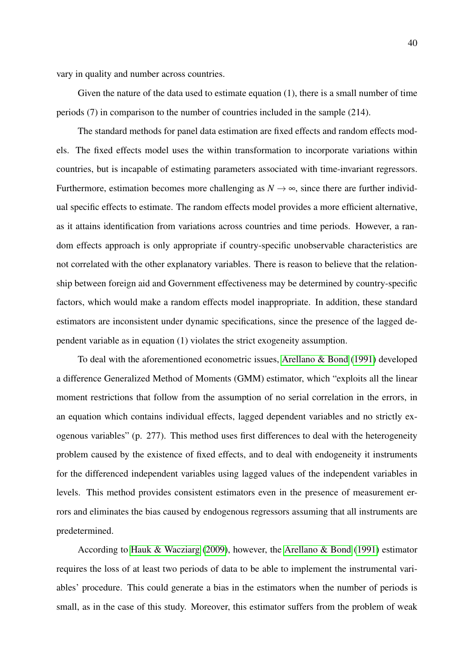vary in quality and number across countries.

Given the nature of the data used to estimate equation (1), there is a small number of time periods (7) in comparison to the number of countries included in the sample (214).

The standard methods for panel data estimation are fixed effects and random effects models. The fixed effects model uses the within transformation to incorporate variations within countries, but is incapable of estimating parameters associated with time-invariant regressors. Furthermore, estimation becomes more challenging as  $N \rightarrow \infty$ , since there are further individual specific effects to estimate. The random effects model provides a more efficient alternative, as it attains identification from variations across countries and time periods. However, a random effects approach is only appropriate if country-specific unobservable characteristics are not correlated with the other explanatory variables. There is reason to believe that the relationship between foreign aid and Government effectiveness may be determined by country-specific factors, which would make a random effects model inappropriate. In addition, these standard estimators are inconsistent under dynamic specifications, since the presence of the lagged dependent variable as in equation (1) violates the strict exogeneity assumption.

To deal with the aforementioned econometric issues, [Arellano & Bond](#page-53-9) [\(1991\)](#page-53-9) developed a difference Generalized Method of Moments (GMM) estimator, which "exploits all the linear moment restrictions that follow from the assumption of no serial correlation in the errors, in an equation which contains individual effects, lagged dependent variables and no strictly exogenous variables" (p. 277). This method uses first differences to deal with the heterogeneity problem caused by the existence of fixed effects, and to deal with endogeneity it instruments for the differenced independent variables using lagged values of the independent variables in levels. This method provides consistent estimators even in the presence of measurement errors and eliminates the bias caused by endogenous regressors assuming that all instruments are predetermined.

According to [Hauk & Wacziarg](#page-56-10) [\(2009\)](#page-56-10), however, the [Arellano & Bond](#page-53-9) [\(1991\)](#page-53-9) estimator requires the loss of at least two periods of data to be able to implement the instrumental variables' procedure. This could generate a bias in the estimators when the number of periods is small, as in the case of this study. Moreover, this estimator suffers from the problem of weak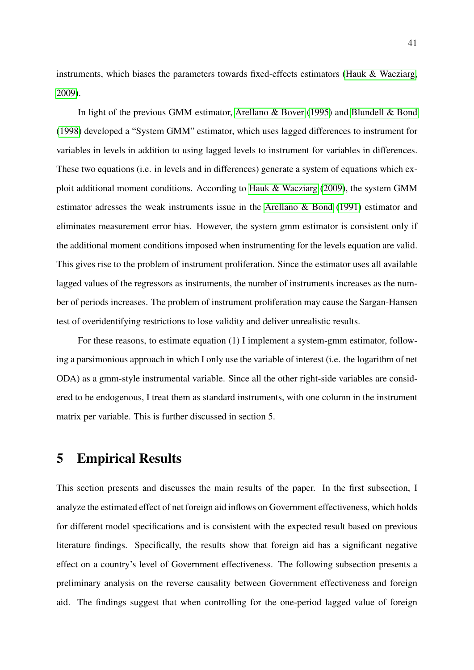instruments, which biases the parameters towards fixed-effects estimators [\(Hauk & Wacziarg,](#page-56-10) [2009\)](#page-56-10).

In light of the previous GMM estimator, [Arellano & Bover](#page-53-10) [\(1995\)](#page-53-10) and [Blundell & Bond](#page-54-10) [\(1998\)](#page-54-10) developed a "System GMM" estimator, which uses lagged differences to instrument for variables in levels in addition to using lagged levels to instrument for variables in differences. These two equations (i.e. in levels and in differences) generate a system of equations which exploit additional moment conditions. According to [Hauk & Wacziarg](#page-56-10) [\(2009\)](#page-56-10), the system GMM estimator adresses the weak instruments issue in the [Arellano & Bond](#page-53-9) [\(1991\)](#page-53-9) estimator and eliminates measurement error bias. However, the system gmm estimator is consistent only if the additional moment conditions imposed when instrumenting for the levels equation are valid. This gives rise to the problem of instrument proliferation. Since the estimator uses all available lagged values of the regressors as instruments, the number of instruments increases as the number of periods increases. The problem of instrument proliferation may cause the Sargan-Hansen test of overidentifying restrictions to lose validity and deliver unrealistic results.

For these reasons, to estimate equation (1) I implement a system-gmm estimator, following a parsimonious approach in which I only use the variable of interest (i.e. the logarithm of net ODA) as a gmm-style instrumental variable. Since all the other right-side variables are considered to be endogenous, I treat them as standard instruments, with one column in the instrument matrix per variable. This is further discussed in section 5.

### <span id="page-40-0"></span>5 Empirical Results

This section presents and discusses the main results of the paper. In the first subsection, I analyze the estimated effect of net foreign aid inflows on Government effectiveness, which holds for different model specifications and is consistent with the expected result based on previous literature findings. Specifically, the results show that foreign aid has a significant negative effect on a country's level of Government effectiveness. The following subsection presents a preliminary analysis on the reverse causality between Government effectiveness and foreign aid. The findings suggest that when controlling for the one-period lagged value of foreign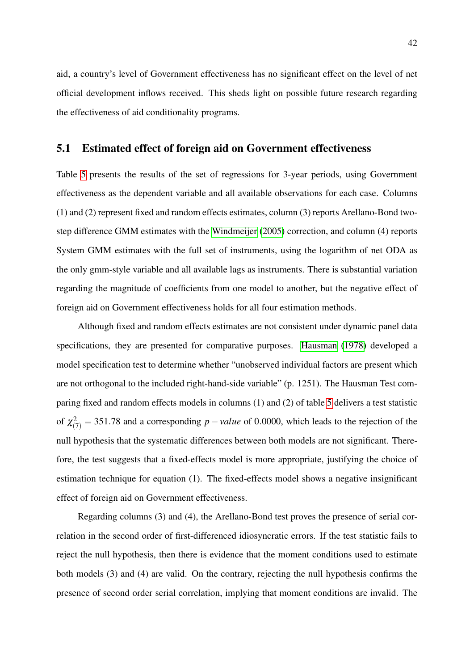aid, a country's level of Government effectiveness has no significant effect on the level of net official development inflows received. This sheds light on possible future research regarding the effectiveness of aid conditionality programs.

#### <span id="page-41-0"></span>5.1 Estimated effect of foreign aid on Government effectiveness

Table [5](#page-42-0) presents the results of the set of regressions for 3-year periods, using Government effectiveness as the dependent variable and all available observations for each case. Columns (1) and (2) represent fixed and random effects estimates, column (3) reports Arellano-Bond twostep difference GMM estimates with the [Windmeijer](#page-59-7) [\(2005\)](#page-59-7) correction, and column (4) reports System GMM estimates with the full set of instruments, using the logarithm of net ODA as the only gmm-style variable and all available lags as instruments. There is substantial variation regarding the magnitude of coefficients from one model to another, but the negative effect of foreign aid on Government effectiveness holds for all four estimation methods.

Although fixed and random effects estimates are not consistent under dynamic panel data specifications, they are presented for comparative purposes. [Hausman](#page-56-11) [\(1978\)](#page-56-11) developed a model specification test to determine whether "unobserved individual factors are present which are not orthogonal to the included right-hand-side variable" (p. 1251). The Hausman Test comparing fixed and random effects models in columns (1) and (2) of table [5](#page-42-0) delivers a test statistic of  $\chi^2_{(7)} = 351.78$  and a corresponding *p*−*value* of 0.0000, which leads to the rejection of the null hypothesis that the systematic differences between both models are not significant. Therefore, the test suggests that a fixed-effects model is more appropriate, justifying the choice of estimation technique for equation (1). The fixed-effects model shows a negative insignificant effect of foreign aid on Government effectiveness.

Regarding columns (3) and (4), the Arellano-Bond test proves the presence of serial correlation in the second order of first-differenced idiosyncratic errors. If the test statistic fails to reject the null hypothesis, then there is evidence that the moment conditions used to estimate both models (3) and (4) are valid. On the contrary, rejecting the null hypothesis confirms the presence of second order serial correlation, implying that moment conditions are invalid. The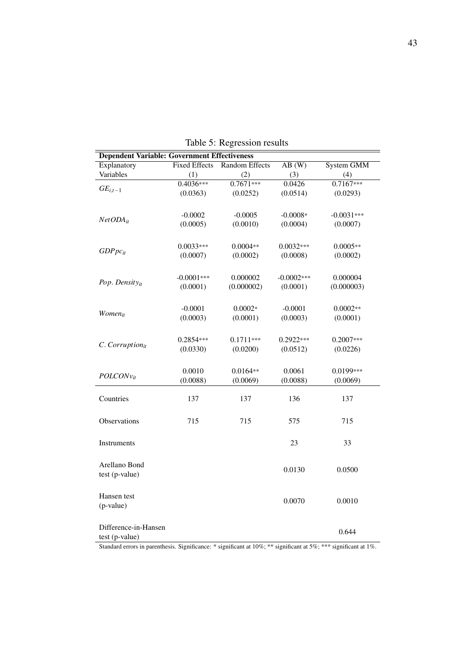<span id="page-42-0"></span>

| <b>Dependent Variable: Government Effectiveness</b> |                      |                       |              |              |
|-----------------------------------------------------|----------------------|-----------------------|--------------|--------------|
| Explanatory                                         | <b>Fixed Effects</b> | <b>Random Effects</b> | AB(W)        | System GMM   |
| Variables                                           | (1)                  | (2)                   | (3)          | (4)          |
| $GE_{i,t-1}$                                        | $0.4036***$          | $0.7671***$           | 0.0426       | $0.7167***$  |
|                                                     | (0.0363)             | (0.0252)              | (0.0514)     | (0.0293)     |
|                                                     |                      |                       |              |              |
|                                                     | $-0.0002$            | $-0.0005$             | $-0.0008*$   | $-0.0031***$ |
| $NetODA_{it}$                                       | (0.0005)             | (0.0010)              | (0.0004)     | (0.0007)     |
|                                                     |                      |                       |              |              |
|                                                     | $0.0033***$          | $0.0004**$            | $0.0032***$  | $0.0005**$   |
| $GDPpc_{it}$                                        | (0.0007)             | (0.0002)              | (0.0008)     | (0.0002)     |
|                                                     |                      |                       |              |              |
|                                                     |                      |                       |              |              |
| Pop. Density <sub>it</sub>                          | $-0.0001***$         | 0.000002              | $-0.0002***$ | 0.000004     |
|                                                     | (0.0001)             | (0.000002)            | (0.0001)     | (0.000003)   |
|                                                     |                      |                       |              |              |
| Women <sub>it</sub>                                 | $-0.0001$            | $0.0002*$             | $-0.0001$    | $0.0002**$   |
|                                                     | (0.0003)             | (0.0001)              | (0.0003)     | (0.0001)     |
|                                                     |                      |                       |              |              |
| $C.$ Corruption $_{it}$                             | 0.2854***            | $0.1711***$           | 0.2922***    | $0.2007***$  |
|                                                     | (0.0330)             | (0.0200)              | (0.0512)     | (0.0226)     |
|                                                     |                      |                       |              |              |
|                                                     | 0.0010               | $0.0164**$            | 0.0061       | 0.0199***    |
| $POLCONv_{it}$                                      | (0.0088)             | (0.0069)              | (0.0088)     | (0.0069)     |
|                                                     |                      |                       |              |              |
| Countries                                           | 137                  | 137                   | 136          | 137          |
|                                                     |                      |                       |              |              |
| Observations                                        | 715                  | 715                   | 575          | 715          |
|                                                     |                      |                       |              |              |
| Instruments                                         |                      |                       | 23           | 33           |
|                                                     |                      |                       |              |              |
|                                                     |                      |                       |              |              |
| Arellano Bond                                       |                      |                       | 0.0130       | 0.0500       |
| test (p-value)                                      |                      |                       |              |              |
|                                                     |                      |                       |              |              |
| Hansen test                                         |                      |                       | 0.0070       | 0.0010       |
| (p-value)                                           |                      |                       |              |              |
|                                                     |                      |                       |              |              |
| Difference-in-Hansen                                |                      |                       |              | 0.644        |
| test (p-value)                                      |                      |                       |              |              |

Table 5: Regression results

Standard errors in parenthesis. Significance: \* significant at 10%; \*\* significant at 5%; \*\*\* significant at 1%.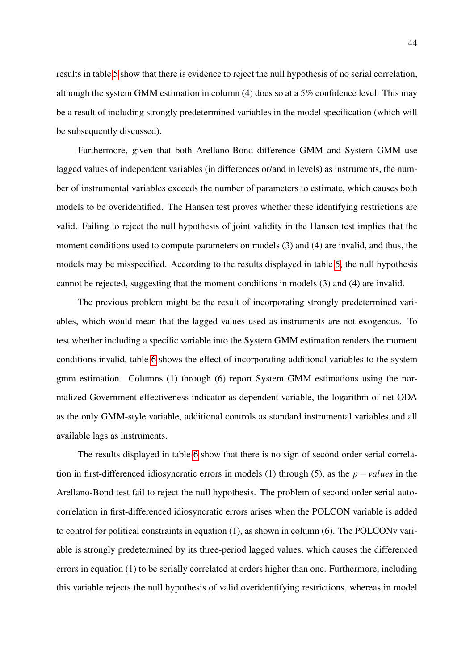results in table [5](#page-42-0) show that there is evidence to reject the null hypothesis of no serial correlation, although the system GMM estimation in column (4) does so at a 5% confidence level. This may be a result of including strongly predetermined variables in the model specification (which will be subsequently discussed).

Furthermore, given that both Arellano-Bond difference GMM and System GMM use lagged values of independent variables (in differences or/and in levels) as instruments, the number of instrumental variables exceeds the number of parameters to estimate, which causes both models to be overidentified. The Hansen test proves whether these identifying restrictions are valid. Failing to reject the null hypothesis of joint validity in the Hansen test implies that the moment conditions used to compute parameters on models (3) and (4) are invalid, and thus, the models may be misspecified. According to the results displayed in table [5,](#page-42-0) the null hypothesis cannot be rejected, suggesting that the moment conditions in models (3) and (4) are invalid.

The previous problem might be the result of incorporating strongly predetermined variables, which would mean that the lagged values used as instruments are not exogenous. To test whether including a specific variable into the System GMM estimation renders the moment conditions invalid, table [6](#page-44-0) shows the effect of incorporating additional variables to the system gmm estimation. Columns (1) through (6) report System GMM estimations using the normalized Government effectiveness indicator as dependent variable, the logarithm of net ODA as the only GMM-style variable, additional controls as standard instrumental variables and all available lags as instruments.

The results displayed in table [6](#page-44-0) show that there is no sign of second order serial correlation in first-differenced idiosyncratic errors in models (1) through (5), as the *p*−*values* in the Arellano-Bond test fail to reject the null hypothesis. The problem of second order serial autocorrelation in first-differenced idiosyncratic errors arises when the POLCON variable is added to control for political constraints in equation (1), as shown in column (6). The POLCONv variable is strongly predetermined by its three-period lagged values, which causes the differenced errors in equation (1) to be serially correlated at orders higher than one. Furthermore, including this variable rejects the null hypothesis of valid overidentifying restrictions, whereas in model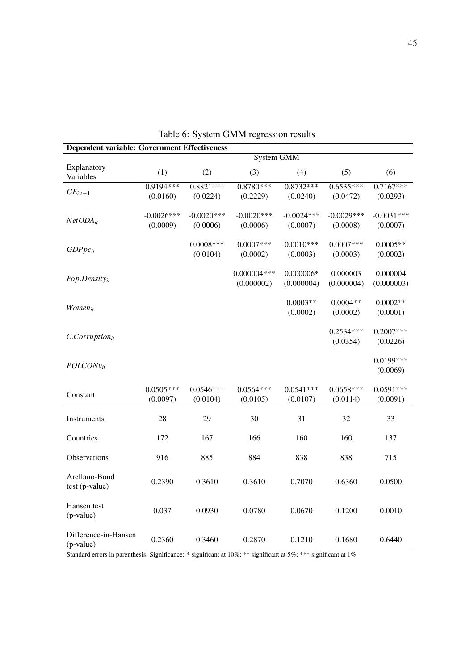<span id="page-44-0"></span>

| <b>Dependent variable: Government Effectiveness</b> |              |              |                   |              |              |              |  |  |
|-----------------------------------------------------|--------------|--------------|-------------------|--------------|--------------|--------------|--|--|
|                                                     |              |              | <b>System GMM</b> |              |              |              |  |  |
| Explanatory                                         | (1)          | (2)          | (3)               | (4)          | (5)          | (6)          |  |  |
| Variables                                           |              |              |                   |              |              |              |  |  |
| $GE_{i,t-1}$                                        | $0.9194***$  | $0.8821***$  | $0.8780***$       | $0.8732***$  | $0.6535***$  | $0.7167***$  |  |  |
|                                                     | (0.0160)     | (0.0224)     | (0.2229)          | (0.0240)     | (0.0472)     | (0.0293)     |  |  |
|                                                     |              |              |                   |              |              |              |  |  |
| $NetODA_{it}$                                       | $-0.0026***$ | $-0.0020***$ | $-0.0020$ ***     | $-0.0024***$ | $-0.0029***$ | $-0.0031***$ |  |  |
|                                                     | (0.0009)     | (0.0006)     | (0.0006)          | (0.0007)     | (0.0008)     | (0.0007)     |  |  |
|                                                     |              | $0.0008***$  | $0.0007***$       | $0.0010***$  | $0.0007***$  | $0.0005**$   |  |  |
| $GDPpc_{it}$                                        |              | (0.0104)     | (0.0002)          | (0.0003)     | (0.0003)     | (0.0002)     |  |  |
|                                                     |              |              |                   |              |              |              |  |  |
|                                                     |              |              | $0.000004***$     | $0.000006*$  | 0.000003     | 0.000004     |  |  |
| $Pop.Density_{it}$                                  |              |              | (0.000002)        | (0.000004)   | (0.000004)   | (0.000003)   |  |  |
|                                                     |              |              |                   |              |              |              |  |  |
|                                                     |              |              |                   | $0.0003**$   | $0.0004**$   | $0.0002**$   |  |  |
| <b>Women</b> <sub>it</sub>                          |              |              |                   | (0.0002)     | (0.0002)     | (0.0001)     |  |  |
|                                                     |              |              |                   |              |              |              |  |  |
| $C. Corruption_{it}$                                |              |              |                   |              | $0.2534***$  | $0.2007***$  |  |  |
|                                                     |              |              |                   |              | (0.0354)     | (0.0226)     |  |  |
|                                                     |              |              |                   |              |              |              |  |  |
| $POLCONv_{it}$                                      |              |              |                   |              |              | 0.0199***    |  |  |
|                                                     |              |              |                   |              |              | (0.0069)     |  |  |
|                                                     | $0.0505***$  | $0.0546***$  | $0.0564***$       | $0.0541***$  | $0.0658***$  | $0.0591***$  |  |  |
| Constant                                            | (0.0097)     | (0.0104)     | (0.0105)          | (0.0107)     | (0.0114)     | (0.0091)     |  |  |
|                                                     |              |              |                   |              |              |              |  |  |
| Instruments                                         | 28           | 29           | 30                | 31           | 32           | 33           |  |  |
|                                                     |              |              |                   |              |              |              |  |  |
| Countries                                           | 172          | 167          | 166               | 160          | 160          | 137          |  |  |
|                                                     |              |              |                   |              |              |              |  |  |
| Observations                                        | 916          | 885          | 884               | 838          | 838          | 715          |  |  |
|                                                     |              |              |                   |              |              |              |  |  |
| Arellano-Bond                                       | 0.2390       | 0.3610       | 0.3610            | 0.7070       | 0.6360       | 0.0500       |  |  |
| test (p-value)                                      |              |              |                   |              |              |              |  |  |
|                                                     |              |              |                   |              |              |              |  |  |
| Hansen test                                         | 0.037        | 0.0930       | 0.0780            | 0.0670       | 0.1200       | 0.0010       |  |  |
| (p-value)                                           |              |              |                   |              |              |              |  |  |
|                                                     |              |              |                   |              |              |              |  |  |
| Difference-in-Hansen                                | 0.2360       | 0.3460       | 0.2870            | 0.1210       | 0.1680       | 0.6440       |  |  |
| (p-value)                                           |              |              |                   |              |              |              |  |  |

Table 6: System GMM regression results

Standard errors in parenthesis. Significance: \* significant at 10%; \*\* significant at 5%; \*\*\* significant at 1%.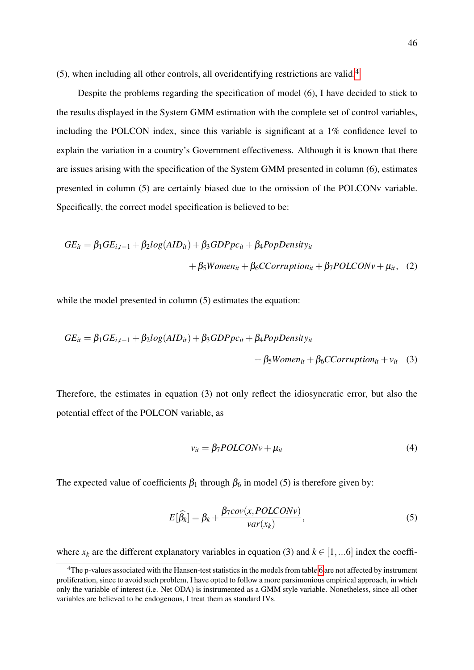(5), when including all other controls, all overidentifying restrictions are valid.[4](#page-45-0)

Despite the problems regarding the specification of model (6), I have decided to stick to the results displayed in the System GMM estimation with the complete set of control variables, including the POLCON index, since this variable is significant at a 1% confidence level to explain the variation in a country's Government effectiveness. Although it is known that there are issues arising with the specification of the System GMM presented in column (6), estimates presented in column (5) are certainly biased due to the omission of the POLCONv variable. Specifically, the correct model specification is believed to be:

$$
GE_{it} = \beta_1 GE_{i,t-1} + \beta_2 log(AID_{it}) + \beta_3 GDPpc_{it} + \beta_4 PopDensity_{it}
$$
  
+  $\beta_5 Women_{it} + \beta_6 CCorruption_{it} + \beta_7 POLCONv + \mu_{it}$ , (2)

while the model presented in column  $(5)$  estimates the equation:

$$
GE_{it} = \beta_1 GE_{i,t-1} + \beta_2 log(AID_{it}) + \beta_3 GDP_{i} + \beta_4 PopDensity_{it}
$$
  
+  $\beta_5 Women_{it} + \beta_6 CCorruption_{it} + v_{it}$  (3)

Therefore, the estimates in equation (3) not only reflect the idiosyncratic error, but also the potential effect of the POLCON variable, as

$$
v_{it} = \beta_7 POLCONv + \mu_{it} \tag{4}
$$

The expected value of coefficients  $\beta_1$  through  $\beta_6$  in model (5) is therefore given by:

$$
E[\widehat{\beta}_k] = \beta_k + \frac{\beta_7 cov(x, POLCONv)}{var(x_k)},
$$
\n(5)

where  $x_k$  are the different explanatory variables in equation (3) and  $k \in [1,...6]$  index the coeffi-

<span id="page-45-0"></span><sup>&</sup>lt;sup>4</sup>The p-values associated with the Hansen-test statistics in the models from table [6](#page-44-0) are not affected by instrument proliferation, since to avoid such problem, I have opted to follow a more parsimonious empirical approach, in which only the variable of interest (i.e. Net ODA) is instrumented as a GMM style variable. Nonetheless, since all other variables are believed to be endogenous, I treat them as standard IVs.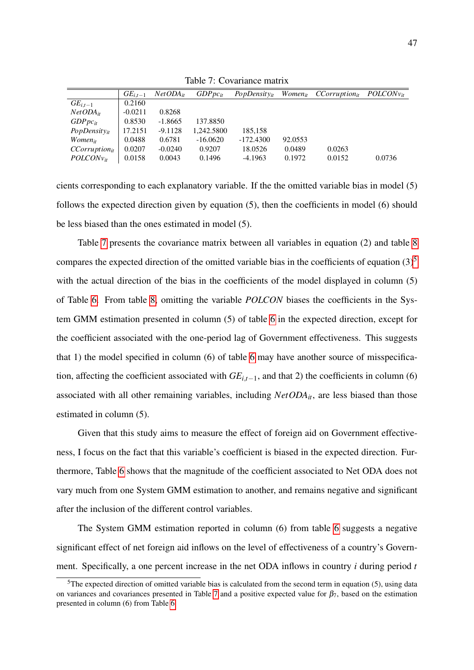<span id="page-46-0"></span>

|                     | $GE_{i,t-1}$ | $NetODA_{it}$ | $GDPpc_{it}$ | $PopDensity_{it}$ | <i>Women</i> <sub>it</sub> | $CCorruption_{it}$ | $POLCONv_{it}$ |
|---------------------|--------------|---------------|--------------|-------------------|----------------------------|--------------------|----------------|
| $GE_{i,t-1}$        | 0.2160       |               |              |                   |                            |                    |                |
| $NetODA_{it}$       | $-0.0211$    | 0.8268        |              |                   |                            |                    |                |
| $GDPpc_{it}$        | 0.8530       | $-1.8665$     | 137.8850     |                   |                            |                    |                |
| $PopDensity_{it}$   | 17.2151      | $-9.1128$     | 1.242.5800   | 185,158           |                            |                    |                |
| Women <sub>it</sub> | 0.0488       | 0.6781        | $-16.0620$   | $-172.4300$       | 92.0553                    |                    |                |
| $CCorruption_{it}$  | 0.0207       | $-0.0240$     | 0.9207       | 18.0526           | 0.0489                     | 0.0263             |                |
| $POLCONv_{it}$      | 0.0158       | 0.0043        | 0.1496       | $-4.1963$         | 0.1972                     | 0.0152             | 0.0736         |

Table 7: Covariance matrix

cients corresponding to each explanatory variable. If the the omitted variable bias in model (5) follows the expected direction given by equation (5), then the coefficients in model (6) should be less biased than the ones estimated in model (5).

Table [7](#page-46-0) presents the covariance matrix between all variables in equation (2) and table [8](#page-47-0) compares the expected direction of the omitted variable bias in the coefficients of equation  $(3)^5$  $(3)^5$ with the actual direction of the bias in the coefficients of the model displayed in column (5) of Table [6.](#page-44-0) From table [8,](#page-47-0) omitting the variable *POLCON* biases the coefficients in the System GMM estimation presented in column (5) of table [6](#page-44-0) in the expected direction, except for the coefficient associated with the one-period lag of Government effectiveness. This suggests that 1) the model specified in column (6) of table [6](#page-44-0) may have another source of misspecification, affecting the coefficient associated with  $GE$ <sub>i, $t$ </sub><sup>-1</sup>, and that 2) the coefficients in column (6) associated with all other remaining variables, including *NetODAit*, are less biased than those estimated in column (5).

Given that this study aims to measure the effect of foreign aid on Government effectiveness, I focus on the fact that this variable's coefficient is biased in the expected direction. Furthermore, Table [6](#page-44-0) shows that the magnitude of the coefficient associated to Net ODA does not vary much from one System GMM estimation to another, and remains negative and significant after the inclusion of the different control variables.

The System GMM estimation reported in column (6) from table [6](#page-44-0) suggests a negative significant effect of net foreign aid inflows on the level of effectiveness of a country's Government. Specifically, a one percent increase in the net ODA inflows in country *i* during period *t*

<span id="page-46-1"></span> $5$ The expected direction of omitted variable bias is calculated from the second term in equation (5), using data on variances and covariances presented in Table [7](#page-46-0) and a positive expected value for  $\beta_7$ , based on the estimation presented in column (6) from Table [6](#page-44-0)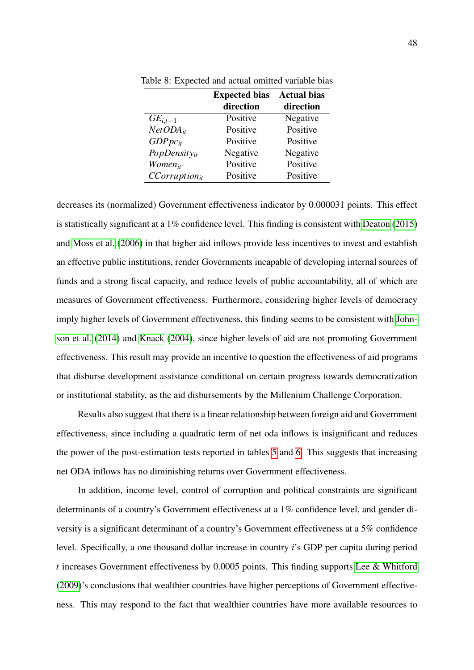|                     | <b>Expected bias</b> | <b>Actual bias</b> |
|---------------------|----------------------|--------------------|
|                     | direction            | direction          |
| $GE_{i,t-1}$        | Positive             | Negative           |
| $NetODA_{it}$       | Positive             | Positive           |
| $GDPpc_{it}$        | Positive             | Positive           |
| $PopDensity_{it}$   | Negative             | Negative           |
| Women <sub>it</sub> | Positive             | Positive           |
| $CCorruption_{it}$  | Positive             | Positive           |

<span id="page-47-0"></span>Table 8: Expected and actual omitted variable bias

decreases its (normalized) Government effectiveness indicator by 0.000031 points. This effect is statistically significant at a 1% confidence level. This finding is consistent with [Deaton](#page-55-3) [\(2015\)](#page-55-3) and [Moss et al.](#page-57-4) [\(2006\)](#page-57-4) in that higher aid inflows provide less incentives to invest and establish an effective public institutions, render Governments incapable of developing internal sources of funds and a strong fiscal capacity, and reduce levels of public accountability, all of which are measures of Government effectiveness. Furthermore, considering higher levels of democracy imply higher levels of Government effectiveness, this finding seems to be consistent with [John](#page-56-2)[son et al.](#page-56-2) [\(2014\)](#page-56-2) and [Knack](#page-57-3) [\(2004\)](#page-57-3), since higher levels of aid are not promoting Government effectiveness. This result may provide an incentive to question the effectiveness of aid programs that disburse development assistance conditional on certain progress towards democratization or institutional stability, as the aid disbursements by the Millenium Challenge Corporation.

Results also suggest that there is a linear relationship between foreign aid and Government effectiveness, since including a quadratic term of net oda inflows is insignificant and reduces the power of the post-estimation tests reported in tables [5](#page-42-0) and [6.](#page-44-0) This suggests that increasing net ODA inflows has no diminishing returns over Government effectiveness.

In addition, income level, control of corruption and political constraints are significant determinants of a country's Government effectiveness at a 1% confidence level, and gender diversity is a significant determinant of a country's Government effectiveness at a 5% confidence level. Specifically, a one thousand dollar increase in country *i*'s GDP per capita during period *t* increases Government effectiveness by 0.0005 points. This finding supports [Lee & Whitford](#page-57-6) [\(2009\)](#page-57-6)'s conclusions that wealthier countries have higher perceptions of Government effectiveness. This may respond to the fact that wealthier countries have more available resources to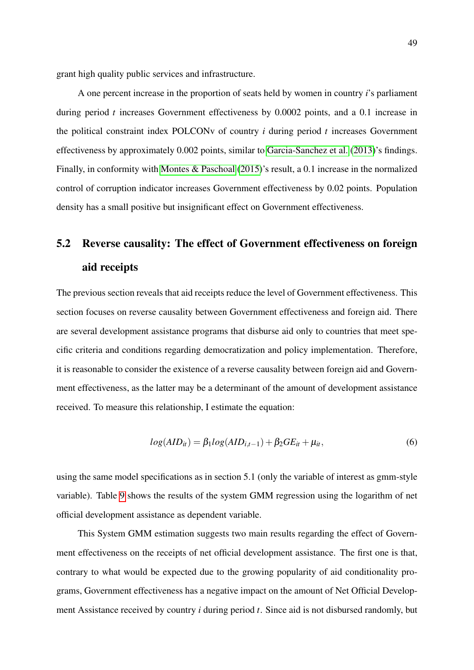grant high quality public services and infrastructure.

A one percent increase in the proportion of seats held by women in country *i*'s parliament during period *t* increases Government effectiveness by 0.0002 points, and a 0.1 increase in the political constraint index POLCONv of country *i* during period *t* increases Government effectiveness by approximately 0.002 points, similar to [Garcia-Sanchez et al.](#page-55-9) [\(2013\)](#page-55-9)'s findings. Finally, in conformity with [Montes & Paschoal](#page-57-8) [\(2015\)](#page-57-8)'s result, a 0.1 increase in the normalized control of corruption indicator increases Government effectiveness by 0.02 points. Population density has a small positive but insignificant effect on Government effectiveness.

# <span id="page-48-0"></span>5.2 Reverse causality: The effect of Government effectiveness on foreign aid receipts

The previous section reveals that aid receipts reduce the level of Government effectiveness. This section focuses on reverse causality between Government effectiveness and foreign aid. There are several development assistance programs that disburse aid only to countries that meet specific criteria and conditions regarding democratization and policy implementation. Therefore, it is reasonable to consider the existence of a reverse causality between foreign aid and Government effectiveness, as the latter may be a determinant of the amount of development assistance received. To measure this relationship, I estimate the equation:

$$
log(AID_{it}) = \beta_1 log(AID_{i,t-1}) + \beta_2 GE_{it} + \mu_{it}, \qquad (6)
$$

using the same model specifications as in section 5.1 (only the variable of interest as gmm-style variable). Table [9](#page-49-0) shows the results of the system GMM regression using the logarithm of net official development assistance as dependent variable.

This System GMM estimation suggests two main results regarding the effect of Government effectiveness on the receipts of net official development assistance. The first one is that, contrary to what would be expected due to the growing popularity of aid conditionality programs, Government effectiveness has a negative impact on the amount of Net Official Development Assistance received by country *i* during period *t*. Since aid is not disbursed randomly, but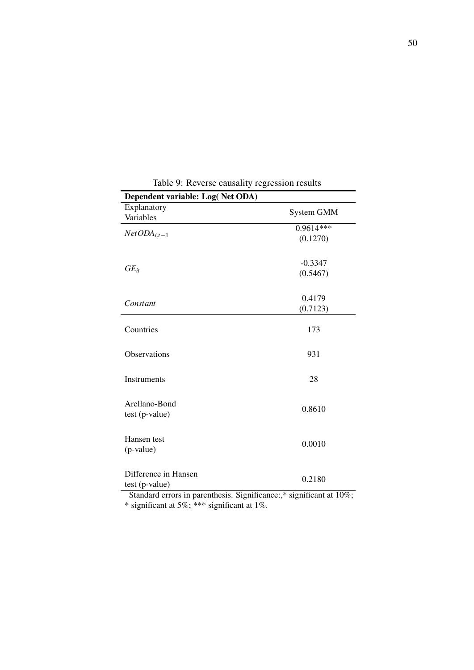<span id="page-49-0"></span>

| Dependent variable: Log(Net ODA)                                    |                   |  |  |
|---------------------------------------------------------------------|-------------------|--|--|
| Explanatory                                                         |                   |  |  |
| Variables                                                           | <b>System GMM</b> |  |  |
|                                                                     | $0.9614***$       |  |  |
| $NetODA_{i,t-1}$                                                    | (0.1270)          |  |  |
|                                                                     |                   |  |  |
|                                                                     | $-0.3347$         |  |  |
| $GE_{it}$                                                           | (0.5467)          |  |  |
|                                                                     |                   |  |  |
|                                                                     |                   |  |  |
| Constant                                                            | 0.4179            |  |  |
|                                                                     | (0.7123)          |  |  |
|                                                                     |                   |  |  |
| Countries                                                           | 173               |  |  |
|                                                                     |                   |  |  |
| Observations                                                        | 931               |  |  |
|                                                                     |                   |  |  |
| Instruments                                                         | 28                |  |  |
|                                                                     |                   |  |  |
|                                                                     |                   |  |  |
| Arellano-Bond                                                       | 0.8610            |  |  |
| test (p-value)                                                      |                   |  |  |
|                                                                     |                   |  |  |
| Hansen test                                                         | 0.0010            |  |  |
| (p-value)                                                           |                   |  |  |
|                                                                     |                   |  |  |
| Difference in Hansen                                                |                   |  |  |
| test (p-value)                                                      | 0.2180            |  |  |
| Standard errors in parenthesis. Significance:,* significant at 10%; |                   |  |  |
|                                                                     |                   |  |  |

Table 9: Reverse causality regression results

\* significant at 5%; \*\*\* significant at 1%.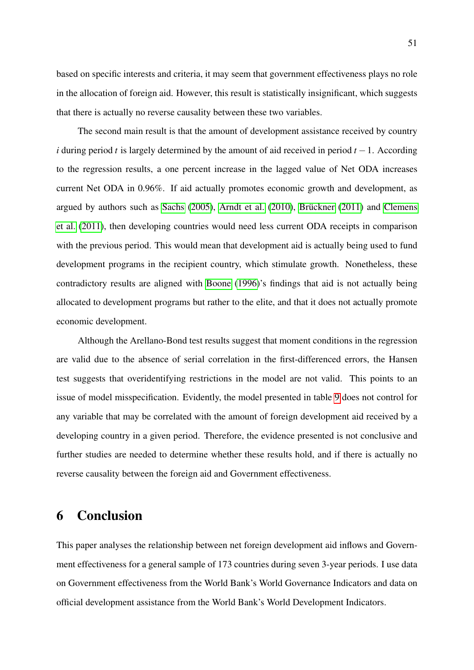based on specific interests and criteria, it may seem that government effectiveness plays no role in the allocation of foreign aid. However, this result is statistically insignificant, which suggests that there is actually no reverse causality between these two variables.

The second main result is that the amount of development assistance received by country *i* during period *t* is largely determined by the amount of aid received in period *t* − 1. According to the regression results, a one percent increase in the lagged value of Net ODA increases current Net ODA in 0.96%. If aid actually promotes economic growth and development, as argued by authors such as [Sachs](#page-58-0)  $(2005)$ , [Arndt et al.](#page-53-1)  $(2010)$ , Brückner  $(2011)$  and [Clemens](#page-55-1) [et al.](#page-55-1) [\(2011\)](#page-55-1), then developing countries would need less current ODA receipts in comparison with the previous period. This would mean that development aid is actually being used to fund development programs in the recipient country, which stimulate growth. Nonetheless, these contradictory results are aligned with [Boone](#page-54-8) [\(1996\)](#page-54-8)'s findings that aid is not actually being allocated to development programs but rather to the elite, and that it does not actually promote economic development.

Although the Arellano-Bond test results suggest that moment conditions in the regression are valid due to the absence of serial correlation in the first-differenced errors, the Hansen test suggests that overidentifying restrictions in the model are not valid. This points to an issue of model misspecification. Evidently, the model presented in table [9](#page-49-0) does not control for any variable that may be correlated with the amount of foreign development aid received by a developing country in a given period. Therefore, the evidence presented is not conclusive and further studies are needed to determine whether these results hold, and if there is actually no reverse causality between the foreign aid and Government effectiveness.

### <span id="page-50-0"></span>6 Conclusion

This paper analyses the relationship between net foreign development aid inflows and Government effectiveness for a general sample of 173 countries during seven 3-year periods. I use data on Government effectiveness from the World Bank's World Governance Indicators and data on official development assistance from the World Bank's World Development Indicators.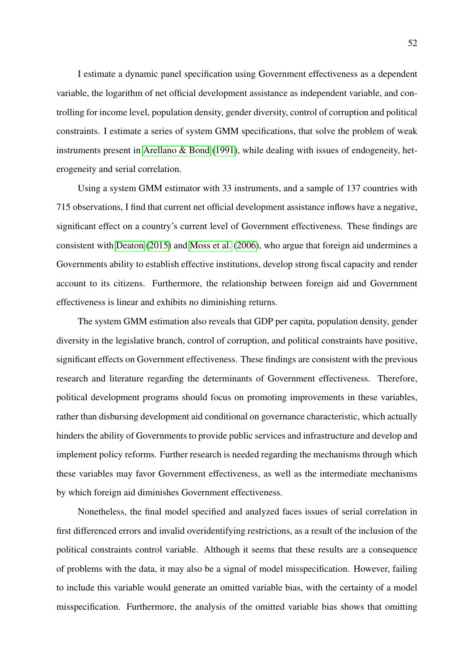I estimate a dynamic panel specification using Government effectiveness as a dependent variable, the logarithm of net official development assistance as independent variable, and controlling for income level, population density, gender diversity, control of corruption and political constraints. I estimate a series of system GMM specifications, that solve the problem of weak instruments present in [Arellano & Bond](#page-53-9) [\(1991\)](#page-53-9), while dealing with issues of endogeneity, heterogeneity and serial correlation.

Using a system GMM estimator with 33 instruments, and a sample of 137 countries with 715 observations, I find that current net official development assistance inflows have a negative, significant effect on a country's current level of Government effectiveness. These findings are consistent with [Deaton](#page-55-3) [\(2015\)](#page-55-3) and [Moss et al.](#page-57-4) [\(2006\)](#page-57-4), who argue that foreign aid undermines a Governments ability to establish effective institutions, develop strong fiscal capacity and render account to its citizens. Furthermore, the relationship between foreign aid and Government effectiveness is linear and exhibits no diminishing returns.

The system GMM estimation also reveals that GDP per capita, population density, gender diversity in the legislative branch, control of corruption, and political constraints have positive, significant effects on Government effectiveness. These findings are consistent with the previous research and literature regarding the determinants of Government effectiveness. Therefore, political development programs should focus on promoting improvements in these variables, rather than disbursing development aid conditional on governance characteristic, which actually hinders the ability of Governments to provide public services and infrastructure and develop and implement policy reforms. Further research is needed regarding the mechanisms through which these variables may favor Government effectiveness, as well as the intermediate mechanisms by which foreign aid diminishes Government effectiveness.

Nonetheless, the final model specified and analyzed faces issues of serial correlation in first differenced errors and invalid overidentifying restrictions, as a result of the inclusion of the political constraints control variable. Although it seems that these results are a consequence of problems with the data, it may also be a signal of model misspecification. However, failing to include this variable would generate an omitted variable bias, with the certainty of a model misspecification. Furthermore, the analysis of the omitted variable bias shows that omitting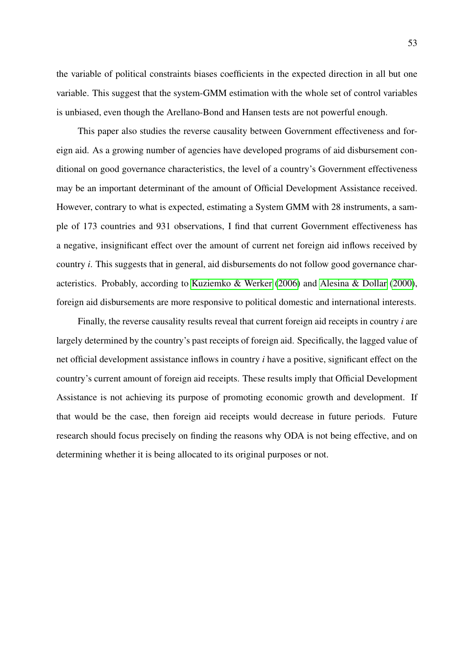the variable of political constraints biases coefficients in the expected direction in all but one variable. This suggest that the system-GMM estimation with the whole set of control variables is unbiased, even though the Arellano-Bond and Hansen tests are not powerful enough.

This paper also studies the reverse causality between Government effectiveness and foreign aid. As a growing number of agencies have developed programs of aid disbursement conditional on good governance characteristics, the level of a country's Government effectiveness may be an important determinant of the amount of Official Development Assistance received. However, contrary to what is expected, estimating a System GMM with 28 instruments, a sample of 173 countries and 931 observations, I find that current Government effectiveness has a negative, insignificant effect over the amount of current net foreign aid inflows received by country *i*. This suggests that in general, aid disbursements do not follow good governance characteristics. Probably, according to [Kuziemko & Werker](#page-57-5) [\(2006\)](#page-57-5) and [Alesina & Dollar](#page-53-7) [\(2000\)](#page-53-7), foreign aid disbursements are more responsive to political domestic and international interests.

Finally, the reverse causality results reveal that current foreign aid receipts in country *i* are largely determined by the country's past receipts of foreign aid. Specifically, the lagged value of net official development assistance inflows in country *i* have a positive, significant effect on the country's current amount of foreign aid receipts. These results imply that Official Development Assistance is not achieving its purpose of promoting economic growth and development. If that would be the case, then foreign aid receipts would decrease in future periods. Future research should focus precisely on finding the reasons why ODA is not being effective, and on determining whether it is being allocated to its original purposes or not.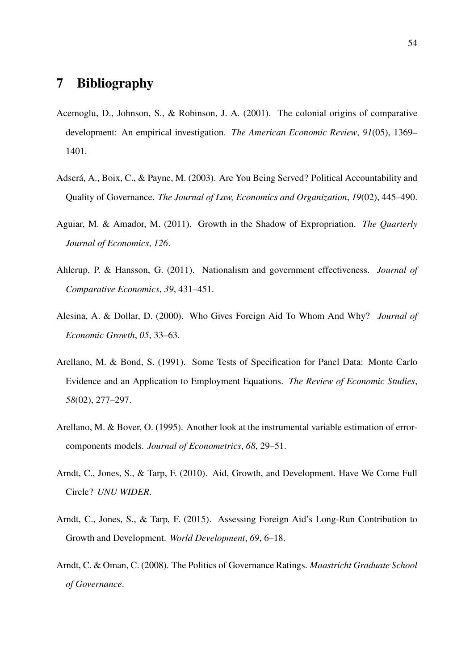### <span id="page-53-0"></span>7 Bibliography

- <span id="page-53-3"></span>Acemoglu, D., Johnson, S., & Robinson, J. A. (2001). The colonial origins of comparative development: An empirical investigation. *The American Economic Review*, *91*(05), 1369– 1401.
- <span id="page-53-5"></span>Adserá, A., Boix, C., & Payne, M. (2003). Are You Being Served? Political Accountability and Quality of Governance. *The Journal of Law, Economics and Organization*, *19*(02), 445–490.
- <span id="page-53-4"></span>Aguiar, M. & Amador, M. (2011). Growth in the Shadow of Expropriation. *The Quarterly Journal of Economics*, *126*.
- <span id="page-53-6"></span>Ahlerup, P. & Hansson, G. (2011). Nationalism and government effectiveness. *Journal of Comparative Economics*, *39*, 431–451.
- <span id="page-53-7"></span>Alesina, A. & Dollar, D. (2000). Who Gives Foreign Aid To Whom And Why? *Journal of Economic Growth*, *05*, 33–63.
- <span id="page-53-9"></span>Arellano, M. & Bond, S. (1991). Some Tests of Specification for Panel Data: Monte Carlo Evidence and an Application to Employment Equations. *The Review of Economic Studies*, *58*(02), 277–297.
- <span id="page-53-10"></span>Arellano, M. & Bover, O. (1995). Another look at the instrumental variable estimation of errorcomponents models. *Journal of Econometrics*, *68*, 29–51.
- <span id="page-53-1"></span>Arndt, C., Jones, S., & Tarp, F. (2010). Aid, Growth, and Development. Have We Come Full Circle? *UNU WIDER*.
- <span id="page-53-2"></span>Arndt, C., Jones, S., & Tarp, F. (2015). Assessing Foreign Aid's Long-Run Contribution to Growth and Development. *World Development*, *69*, 6–18.
- <span id="page-53-8"></span>Arndt, C. & Oman, C. (2008). The Politics of Governance Ratings. *Maastricht Graduate School of Governance*.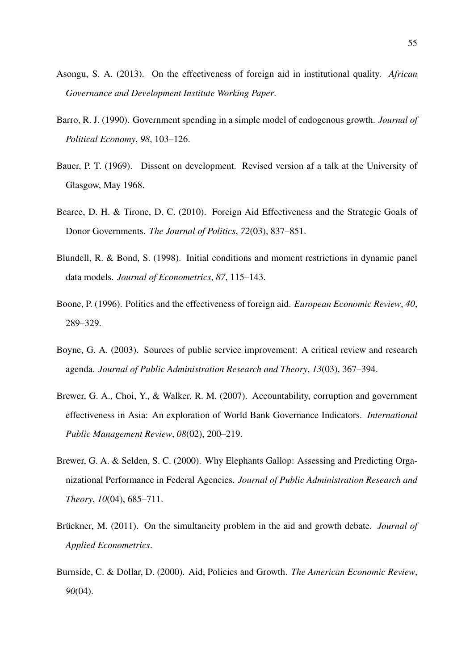- <span id="page-54-9"></span>Asongu, S. A. (2013). On the effectiveness of foreign aid in institutional quality. *African Governance and Development Institute Working Paper*.
- <span id="page-54-6"></span>Barro, R. J. (1990). Government spending in a simple model of endogenous growth. *Journal of Political Economy*, *98*, 103–126.
- <span id="page-54-7"></span>Bauer, P. T. (1969). Dissent on development. Revised version af a talk at the University of Glasgow, May 1968.
- <span id="page-54-5"></span>Bearce, D. H. & Tirone, D. C. (2010). Foreign Aid Effectiveness and the Strategic Goals of Donor Governments. *The Journal of Politics*, *72*(03), 837–851.
- <span id="page-54-10"></span>Blundell, R. & Bond, S. (1998). Initial conditions and moment restrictions in dynamic panel data models. *Journal of Econometrics*, *87*, 115–143.
- <span id="page-54-8"></span>Boone, P. (1996). Politics and the effectiveness of foreign aid. *European Economic Review*, *40*, 289–329.
- <span id="page-54-3"></span>Boyne, G. A. (2003). Sources of public service improvement: A critical review and research agenda. *Journal of Public Administration Research and Theory*, *13*(03), 367–394.
- <span id="page-54-4"></span>Brewer, G. A., Choi, Y., & Walker, R. M. (2007). Accountability, corruption and government effectiveness in Asia: An exploration of World Bank Governance Indicators. *International Public Management Review*, *08*(02), 200–219.
- <span id="page-54-2"></span>Brewer, G. A. & Selden, S. C. (2000). Why Elephants Gallop: Assessing and Predicting Organizational Performance in Federal Agencies. *Journal of Public Administration Research and Theory*, *10*(04), 685–711.
- <span id="page-54-0"></span>Brückner, M. (2011). On the simultaneity problem in the aid and growth debate. *Journal of Applied Econometrics*.
- <span id="page-54-1"></span>Burnside, C. & Dollar, D. (2000). Aid, Policies and Growth. *The American Economic Review*, *90*(04).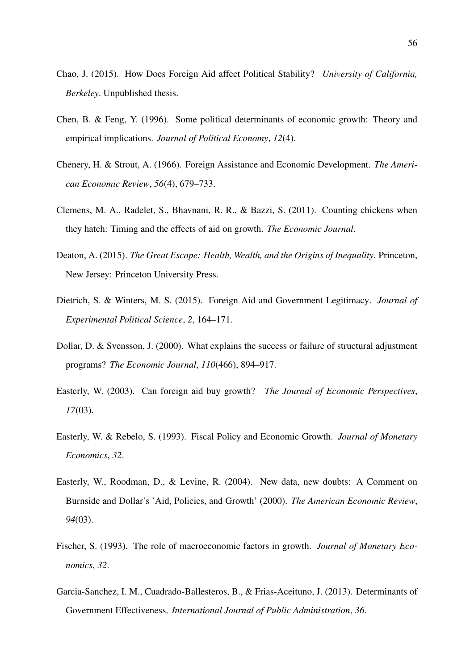- <span id="page-55-11"></span>Chao, J. (2015). How Does Foreign Aid affect Political Stability? *University of California, Berkeley*. Unpublished thesis.
- <span id="page-55-6"></span>Chen, B. & Feng, Y. (1996). Some political determinants of economic growth: Theory and empirical implications. *Journal of Political Economy*, *12*(4).
- <span id="page-55-0"></span>Chenery, H. & Strout, A. (1966). Foreign Assistance and Economic Development. *The American Economic Review*, *56*(4), 679–733.
- <span id="page-55-1"></span>Clemens, M. A., Radelet, S., Bhavnani, R. R., & Bazzi, S. (2011). Counting chickens when they hatch: Timing and the effects of aid on growth. *The Economic Journal*.
- <span id="page-55-3"></span>Deaton, A. (2015). *The Great Escape: Health, Wealth, and the Origins of Inequality*. Princeton, New Jersey: Princeton University Press.
- <span id="page-55-8"></span>Dietrich, S. & Winters, M. S. (2015). Foreign Aid and Government Legitimacy. *Journal of Experimental Political Science*, *2*, 164–171.
- <span id="page-55-7"></span>Dollar, D. & Svensson, J. (2000). What explains the success or failure of structural adjustment programs? *The Economic Journal*, *110*(466), 894–917.
- <span id="page-55-2"></span>Easterly, W. (2003). Can foreign aid buy growth? *The Journal of Economic Perspectives*, *17*(03).
- <span id="page-55-4"></span>Easterly, W. & Rebelo, S. (1993). Fiscal Policy and Economic Growth. *Journal of Monetary Economics*, *32*.
- <span id="page-55-10"></span>Easterly, W., Roodman, D., & Levine, R. (2004). New data, new doubts: A Comment on Burnside and Dollar's 'Aid, Policies, and Growth' (2000). *The American Economic Review*, *94*(03).
- <span id="page-55-5"></span>Fischer, S. (1993). The role of macroeconomic factors in growth. *Journal of Monetary Economics*, *32*.
- <span id="page-55-9"></span>Garcia-Sanchez, I. M., Cuadrado-Ballesteros, B., & Frias-Aceituno, J. (2013). Determinants of Government Effectiveness. *International Journal of Public Administration*, *36*.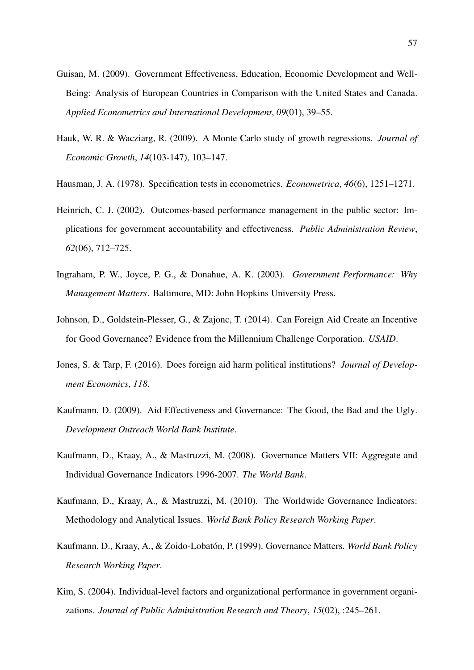- <span id="page-56-8"></span>Guisan, M. (2009). Government Effectiveness, Education, Economic Development and Well-Being: Analysis of European Countries in Comparison with the United States and Canada. *Applied Econometrics and International Development*, *09*(01), 39–55.
- <span id="page-56-10"></span>Hauk, W. R. & Wacziarg, R. (2009). A Monte Carlo study of growth regressions. *Journal of Economic Growth*, *14*(103-147), 103–147.
- <span id="page-56-11"></span>Hausman, J. A. (1978). Specification tests in econometrics. *Econometrica*, *46*(6), 1251–1271.
- <span id="page-56-6"></span>Heinrich, C. J. (2002). Outcomes-based performance management in the public sector: Implications for government accountability and effectiveness. *Public Administration Review*, *62*(06), 712–725.
- <span id="page-56-5"></span>Ingraham, P. W., Joyce, P. G., & Donahue, A. K. (2003). *Government Performance: Why Management Matters*. Baltimore, MD: John Hopkins University Press.
- <span id="page-56-2"></span>Johnson, D., Goldstein-Plesser, G., & Zajonc, T. (2014). Can Foreign Aid Create an Incentive for Good Governance? Evidence from the Millennium Challenge Corporation. *USAID*.
- <span id="page-56-0"></span>Jones, S. & Tarp, F. (2016). Does foreign aid harm political institutions? *Journal of Development Economics*, *118*.
- <span id="page-56-1"></span>Kaufmann, D. (2009). Aid Effectiveness and Governance: The Good, the Bad and the Ugly. *Development Outreach World Bank Institute*.
- <span id="page-56-9"></span>Kaufmann, D., Kraay, A., & Mastruzzi, M. (2008). Governance Matters VII: Aggregate and Individual Governance Indicators 1996-2007. *The World Bank*.
- <span id="page-56-3"></span>Kaufmann, D., Kraay, A., & Mastruzzi, M. (2010). The Worldwide Governance Indicators: Methodology and Analytical Issues. *World Bank Policy Research Working Paper*.
- <span id="page-56-4"></span>Kaufmann, D., Kraay, A., & Zoido-Lobatón, P. (1999). Governance Matters. *World Bank Policy Research Working Paper*.
- <span id="page-56-7"></span>Kim, S. (2004). Individual-level factors and organizational performance in government organizations. *Journal of Public Administration Research and Theory*, *15*(02), :245–261.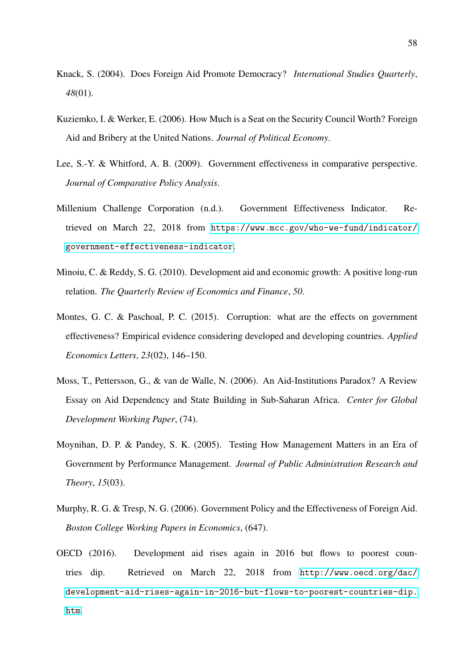- <span id="page-57-3"></span>Knack, S. (2004). Does Foreign Aid Promote Democracy? *International Studies Quarterly*, *48*(01).
- <span id="page-57-5"></span>Kuziemko, I. & Werker, E. (2006). How Much is a Seat on the Security Council Worth? Foreign Aid and Bribery at the United Nations. *Journal of Political Economy*.
- <span id="page-57-6"></span>Lee, S.-Y. & Whitford, A. B. (2009). Government effectiveness in comparative perspective. *Journal of Comparative Policy Analysis*.
- <span id="page-57-9"></span>Millenium Challenge Corporation (n.d.). Government Effectiveness Indicator. Retrieved on March 22, 2018 from [https://www.mcc.gov/who-we-fund/indicator/](https://www.mcc.gov/who-we-fund/indicator/government-effectiveness-indicator) [government-effectiveness-indicator](https://www.mcc.gov/who-we-fund/indicator/government-effectiveness-indicator).
- <span id="page-57-1"></span>Minoiu, C. & Reddy, S. G. (2010). Development aid and economic growth: A positive long-run relation. *The Quarterly Review of Economics and Finance*, *50*.
- <span id="page-57-8"></span>Montes, G. C. & Paschoal, P. C. (2015). Corruption: what are the effects on government effectiveness? Empirical evidence considering developed and developing countries. *Applied Economics Letters*, *23*(02), 146–150.
- <span id="page-57-4"></span>Moss, T., Pettersson, G., & van de Walle, N. (2006). An Aid-Institutions Paradox? A Review Essay on Aid Dependency and State Building in Sub-Saharan Africa. *Center for Global Development Working Paper*, (74).
- <span id="page-57-7"></span>Moynihan, D. P. & Pandey, S. K. (2005). Testing How Management Matters in an Era of Government by Performance Management. *Journal of Public Administration Research and Theory*, *15*(03).
- <span id="page-57-2"></span>Murphy, R. G. & Tresp, N. G. (2006). Government Policy and the Effectiveness of Foreign Aid. *Boston College Working Papers in Economics*, (647).
- <span id="page-57-0"></span>OECD (2016). Development aid rises again in 2016 but flows to poorest countries dip. Retrieved on March 22, 2018 from [http://www.oecd.org/dac/](http://www.oecd.org/dac/development-aid-rises-again-in-2016-but-flows-to-poorest-countries-dip.htm) [development-aid-rises-again-in-2016-but-flows-to-poorest-countries-dip.](http://www.oecd.org/dac/development-aid-rises-again-in-2016-but-flows-to-poorest-countries-dip.htm) [htm](http://www.oecd.org/dac/development-aid-rises-again-in-2016-but-flows-to-poorest-countries-dip.htm).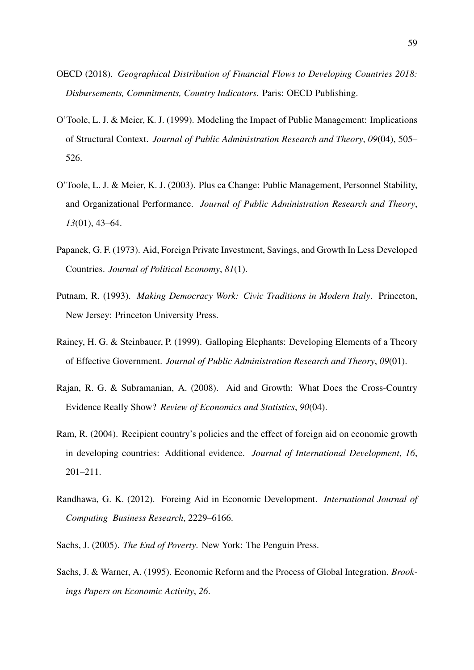- <span id="page-58-9"></span>OECD (2018). *Geographical Distribution of Financial Flows to Developing Countries 2018: Disbursements, Commitments, Country Indicators*. Paris: OECD Publishing.
- <span id="page-58-5"></span>O'Toole, L. J. & Meier, K. J. (1999). Modeling the Impact of Public Management: Implications of Structural Context. *Journal of Public Administration Research and Theory*, *09*(04), 505– 526.
- <span id="page-58-6"></span>O'Toole, L. J. & Meier, K. J. (2003). Plus ca Change: Public Management, Personnel Stability, and Organizational Performance. *Journal of Public Administration Research and Theory*, *13*(01), 43–64.
- <span id="page-58-7"></span>Papanek, G. F. (1973). Aid, Foreign Private Investment, Savings, and Growth In Less Developed Countries. *Journal of Political Economy*, *81*(1).
- <span id="page-58-4"></span>Putnam, R. (1993). *Making Democracy Work: Civic Traditions in Modern Italy*. Princeton, New Jersey: Princeton University Press.
- <span id="page-58-3"></span>Rainey, H. G. & Steinbauer, P. (1999). Galloping Elephants: Developing Elements of a Theory of Effective Government. *Journal of Public Administration Research and Theory*, *09*(01).
- <span id="page-58-1"></span>Rajan, R. G. & Subramanian, A. (2008). Aid and Growth: What Does the Cross-Country Evidence Really Show? *Review of Economics and Statistics*, *90*(04).
- <span id="page-58-10"></span>Ram, R. (2004). Recipient country's policies and the effect of foreign aid on economic growth in developing countries: Additional evidence. *Journal of International Development*, *16*, 201–211.
- <span id="page-58-8"></span>Randhawa, G. K. (2012). Foreing Aid in Economic Development. *International Journal of Computing Business Research*, 2229–6166.
- <span id="page-58-0"></span>Sachs, J. (2005). *The End of Poverty*. New York: The Penguin Press.
- <span id="page-58-2"></span>Sachs, J. & Warner, A. (1995). Economic Reform and the Process of Global Integration. *Brookings Papers on Economic Activity*, *26*.